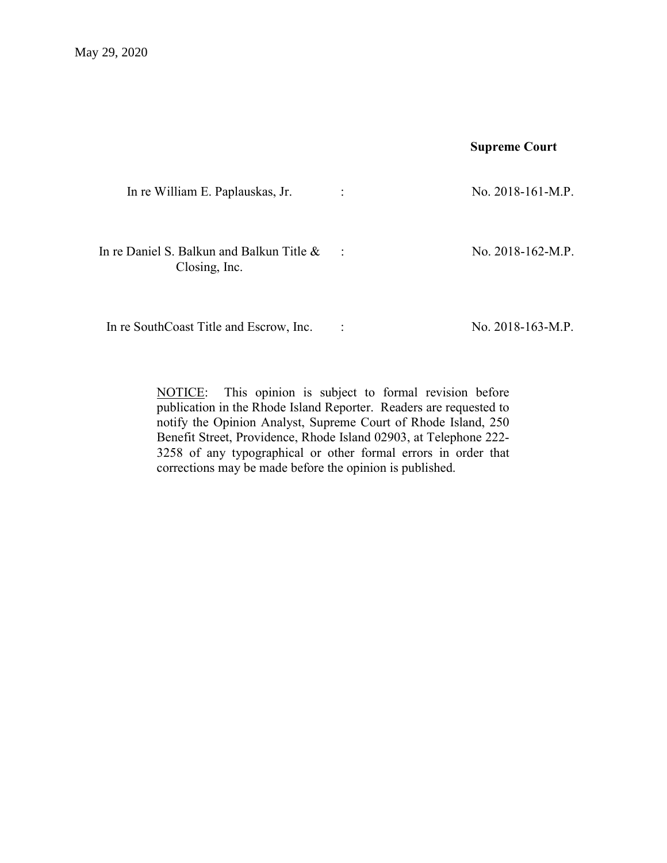# Supreme Court

| In re William E. Paplauskas, Jr.                           | $\ddot{\cdot}$ | No. $2018-161-M.P.$ |
|------------------------------------------------------------|----------------|---------------------|
| In re Daniel S. Balkun and Balkun Title &<br>Closing, Inc. | $\ddot{\cdot}$ | No. $2018-162-M.P.$ |

In re SouthCoast Title and Escrow, Inc. : No. 2018-163-M.P.

NOTICE: This opinion is subject to formal revision before publication in the Rhode Island Reporter. Readers are requested to notify the Opinion Analyst, Supreme Court of Rhode Island, 250 Benefit Street, Providence, Rhode Island 02903, at Telephone 222- 3258 of any typographical or other formal errors in order that corrections may be made before the opinion is published.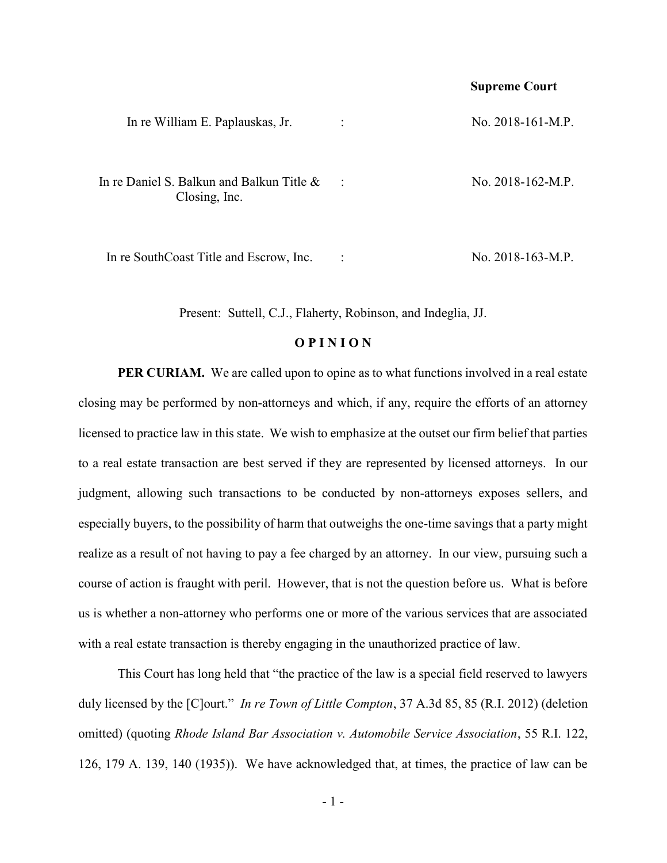### Supreme Court

| In re William E. Paplauskas, Jr.                              | $\ddot{\cdot}$ | No. $2018-161-M.P.$ |
|---------------------------------------------------------------|----------------|---------------------|
| In re Daniel S. Balkun and Balkun Title $\&$<br>Closing, Inc. | $\mathbf{L}$   | No. $2018-162-M.P.$ |
|                                                               |                |                     |

In re SouthCoast Title and Escrow, Inc. : No. 2018-163-M.P.

Present: Suttell, C.J., Flaherty, Robinson, and Indeglia, JJ.

# **OPINION**

**PER CURIAM.** We are called upon to opine as to what functions involved in a real estate closing may be performed by non-attorneys and which, if any, require the efforts of an attorney licensed to practice law in this state. We wish to emphasize at the outset our firm belief that parties to a real estate transaction are best served if they are represented by licensed attorneys. In our judgment, allowing such transactions to be conducted by non-attorneys exposes sellers, and especially buyers, to the possibility of harm that outweighs the one-time savings that a party might realize as a result of not having to pay a fee charged by an attorney. In our view, pursuing such a course of action is fraught with peril. However, that is not the question before us. What is before us is whether a non-attorney who performs one or more of the various services that are associated with a real estate transaction is thereby engaging in the unauthorized practice of law.

 This Court has long held that "the practice of the law is a special field reserved to lawyers duly licensed by the [C]ourt." In re Town of Little Compton, 37 A.3d 85, 85 (R.I. 2012) (deletion omitted) (quoting Rhode Island Bar Association v. Automobile Service Association, 55 R.I. 122, 126, 179 A. 139, 140 (1935)). We have acknowledged that, at times, the practice of law can be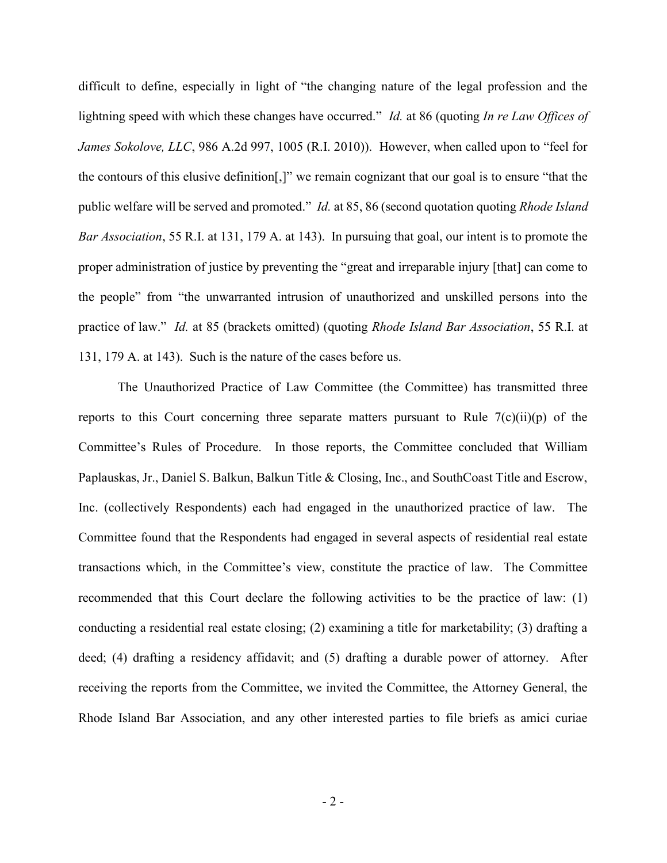difficult to define, especially in light of "the changing nature of the legal profession and the lightning speed with which these changes have occurred." *Id.* at 86 (quoting *In re Law Offices of* James Sokolove, LLC, 986 A.2d 997, 1005 (R.I. 2010)). However, when called upon to "feel for the contours of this elusive definition[,]" we remain cognizant that our goal is to ensure "that the public welfare will be served and promoted." Id. at 85, 86 (second quotation quoting Rhode Island Bar Association, 55 R.I. at 131, 179 A. at 143). In pursuing that goal, our intent is to promote the proper administration of justice by preventing the "great and irreparable injury [that] can come to the people" from "the unwarranted intrusion of unauthorized and unskilled persons into the practice of law." Id. at 85 (brackets omitted) (quoting Rhode Island Bar Association, 55 R.I. at 131, 179 A. at 143). Such is the nature of the cases before us.

The Unauthorized Practice of Law Committee (the Committee) has transmitted three reports to this Court concerning three separate matters pursuant to Rule  $7(c)(ii)(p)$  of the Committee's Rules of Procedure. In those reports, the Committee concluded that William Paplauskas, Jr., Daniel S. Balkun, Balkun Title & Closing, Inc., and SouthCoast Title and Escrow, Inc. (collectively Respondents) each had engaged in the unauthorized practice of law. The Committee found that the Respondents had engaged in several aspects of residential real estate transactions which, in the Committee's view, constitute the practice of law. The Committee recommended that this Court declare the following activities to be the practice of law: (1) conducting a residential real estate closing; (2) examining a title for marketability; (3) drafting a deed; (4) drafting a residency affidavit; and (5) drafting a durable power of attorney. After receiving the reports from the Committee, we invited the Committee, the Attorney General, the Rhode Island Bar Association, and any other interested parties to file briefs as amici curiae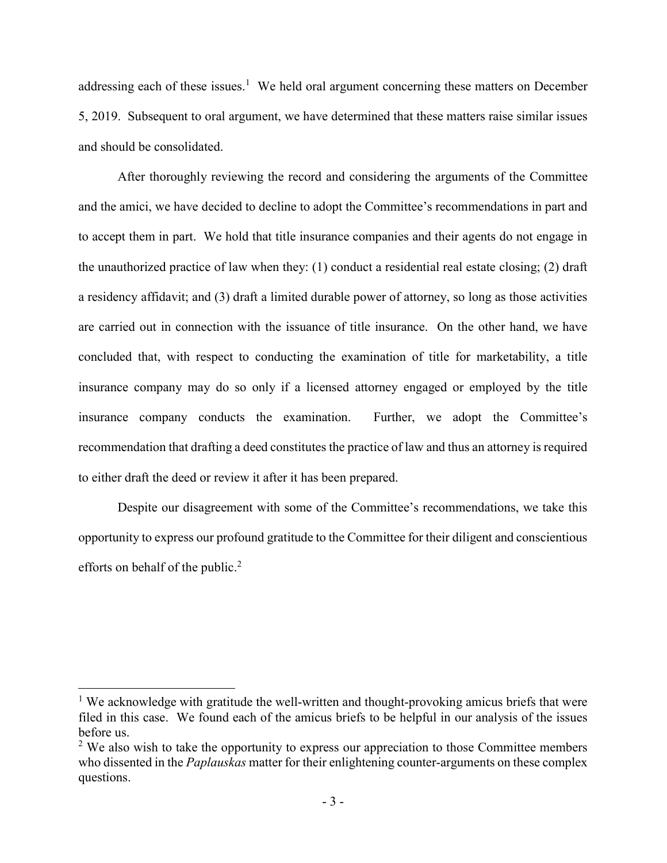addressing each of these issues.<sup>1</sup> We held oral argument concerning these matters on December 5, 2019. Subsequent to oral argument, we have determined that these matters raise similar issues and should be consolidated.

After thoroughly reviewing the record and considering the arguments of the Committee and the amici, we have decided to decline to adopt the Committee's recommendations in part and to accept them in part. We hold that title insurance companies and their agents do not engage in the unauthorized practice of law when they: (1) conduct a residential real estate closing; (2) draft a residency affidavit; and (3) draft a limited durable power of attorney, so long as those activities are carried out in connection with the issuance of title insurance. On the other hand, we have concluded that, with respect to conducting the examination of title for marketability, a title insurance company may do so only if a licensed attorney engaged or employed by the title insurance company conducts the examination. Further, we adopt the Committee's recommendation that drafting a deed constitutes the practice of law and thus an attorney is required to either draft the deed or review it after it has been prepared.

Despite our disagreement with some of the Committee's recommendations, we take this opportunity to express our profound gratitude to the Committee for their diligent and conscientious efforts on behalf of the public.<sup>2</sup>

<sup>&</sup>lt;sup>1</sup> We acknowledge with gratitude the well-written and thought-provoking amicus briefs that were filed in this case. We found each of the amicus briefs to be helpful in our analysis of the issues before us.

 $2$  We also wish to take the opportunity to express our appreciation to those Committee members who dissented in the *Paplauskas* matter for their enlightening counter-arguments on these complex questions.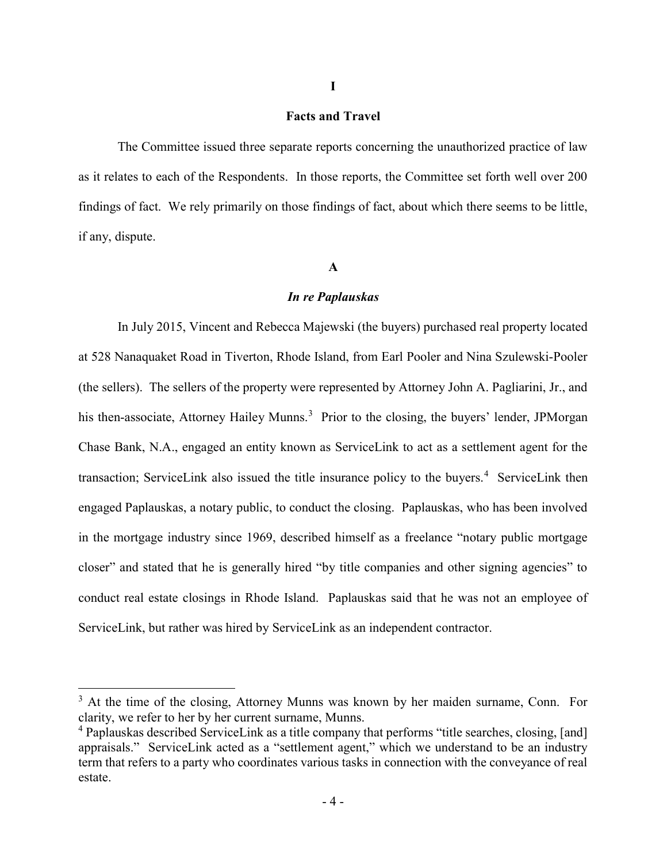# Facts and Travel

I

The Committee issued three separate reports concerning the unauthorized practice of law as it relates to each of the Respondents. In those reports, the Committee set forth well over 200 findings of fact. We rely primarily on those findings of fact, about which there seems to be little, if any, dispute.

## A

#### In re Paplauskas

In July 2015, Vincent and Rebecca Majewski (the buyers) purchased real property located at 528 Nanaquaket Road in Tiverton, Rhode Island, from Earl Pooler and Nina Szulewski-Pooler (the sellers). The sellers of the property were represented by Attorney John A. Pagliarini, Jr., and his then-associate, Attorney Hailey Munns.<sup>3</sup> Prior to the closing, the buyers' lender, JPMorgan Chase Bank, N.A., engaged an entity known as ServiceLink to act as a settlement agent for the transaction; ServiceLink also issued the title insurance policy to the buyers.<sup>4</sup> ServiceLink then engaged Paplauskas, a notary public, to conduct the closing. Paplauskas, who has been involved in the mortgage industry since 1969, described himself as a freelance "notary public mortgage closer" and stated that he is generally hired "by title companies and other signing agencies" to conduct real estate closings in Rhode Island. Paplauskas said that he was not an employee of ServiceLink, but rather was hired by ServiceLink as an independent contractor.

<sup>&</sup>lt;sup>3</sup> At the time of the closing, Attorney Munns was known by her maiden surname, Conn. For clarity, we refer to her by her current surname, Munns.

<sup>&</sup>lt;sup>4</sup> Paplauskas described ServiceLink as a title company that performs "title searches, closing, [and] appraisals." ServiceLink acted as a "settlement agent," which we understand to be an industry term that refers to a party who coordinates various tasks in connection with the conveyance of real estate.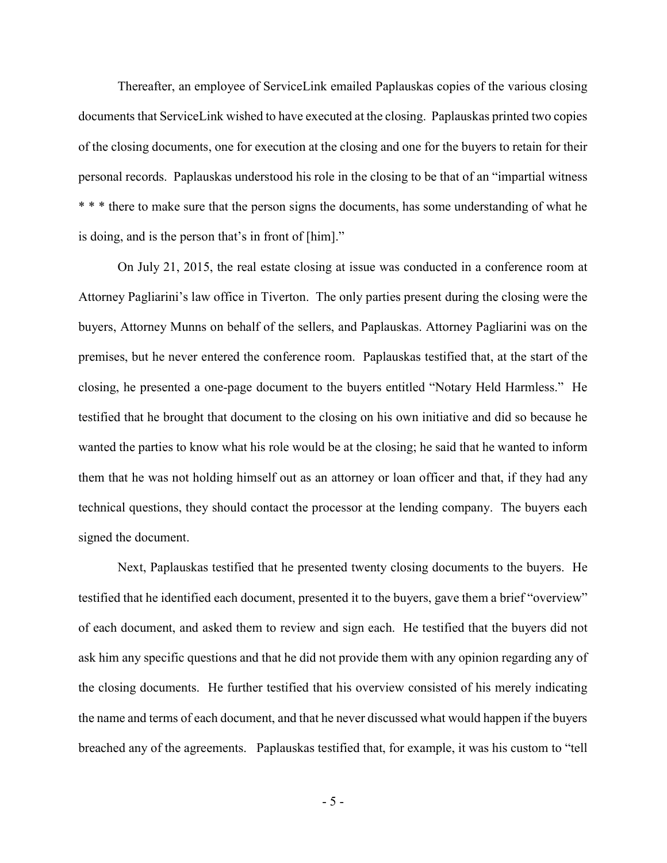Thereafter, an employee of ServiceLink emailed Paplauskas copies of the various closing documents that ServiceLink wished to have executed at the closing. Paplauskas printed two copies of the closing documents, one for execution at the closing and one for the buyers to retain for their personal records. Paplauskas understood his role in the closing to be that of an "impartial witness \* \* \* there to make sure that the person signs the documents, has some understanding of what he is doing, and is the person that's in front of [him]."

 On July 21, 2015, the real estate closing at issue was conducted in a conference room at Attorney Pagliarini's law office in Tiverton. The only parties present during the closing were the buyers, Attorney Munns on behalf of the sellers, and Paplauskas. Attorney Pagliarini was on the premises, but he never entered the conference room. Paplauskas testified that, at the start of the closing, he presented a one-page document to the buyers entitled "Notary Held Harmless." He testified that he brought that document to the closing on his own initiative and did so because he wanted the parties to know what his role would be at the closing; he said that he wanted to inform them that he was not holding himself out as an attorney or loan officer and that, if they had any technical questions, they should contact the processor at the lending company. The buyers each signed the document.

 Next, Paplauskas testified that he presented twenty closing documents to the buyers. He testified that he identified each document, presented it to the buyers, gave them a brief "overview" of each document, and asked them to review and sign each. He testified that the buyers did not ask him any specific questions and that he did not provide them with any opinion regarding any of the closing documents. He further testified that his overview consisted of his merely indicating the name and terms of each document, and that he never discussed what would happen if the buyers breached any of the agreements. Paplauskas testified that, for example, it was his custom to "tell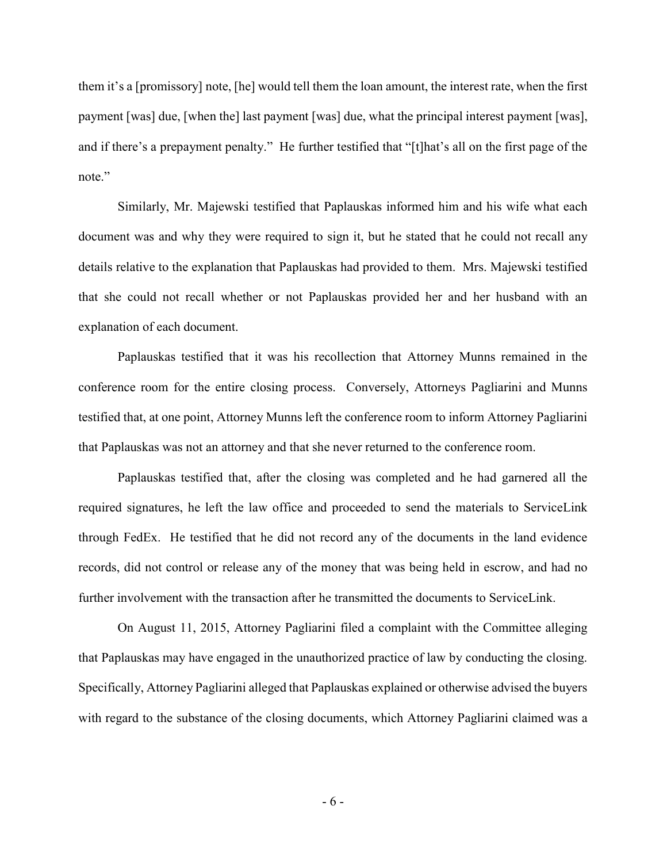them it's a [promissory] note, [he] would tell them the loan amount, the interest rate, when the first payment [was] due, [when the] last payment [was] due, what the principal interest payment [was], and if there's a prepayment penalty." He further testified that "[t]hat's all on the first page of the note."

 Similarly, Mr. Majewski testified that Paplauskas informed him and his wife what each document was and why they were required to sign it, but he stated that he could not recall any details relative to the explanation that Paplauskas had provided to them. Mrs. Majewski testified that she could not recall whether or not Paplauskas provided her and her husband with an explanation of each document.

Paplauskas testified that it was his recollection that Attorney Munns remained in the conference room for the entire closing process. Conversely, Attorneys Pagliarini and Munns testified that, at one point, Attorney Munns left the conference room to inform Attorney Pagliarini that Paplauskas was not an attorney and that she never returned to the conference room.

Paplauskas testified that, after the closing was completed and he had garnered all the required signatures, he left the law office and proceeded to send the materials to ServiceLink through FedEx. He testified that he did not record any of the documents in the land evidence records, did not control or release any of the money that was being held in escrow, and had no further involvement with the transaction after he transmitted the documents to ServiceLink.

On August 11, 2015, Attorney Pagliarini filed a complaint with the Committee alleging that Paplauskas may have engaged in the unauthorized practice of law by conducting the closing. Specifically, Attorney Pagliarini alleged that Paplauskas explained or otherwise advised the buyers with regard to the substance of the closing documents, which Attorney Pagliarini claimed was a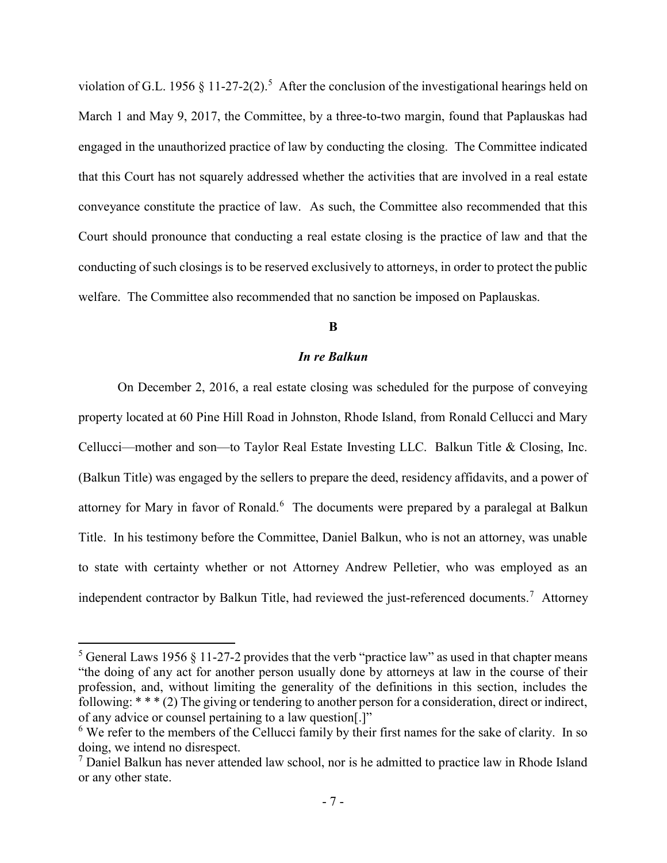violation of G.L. 1956 § 11-27-2(2).<sup>5</sup> After the conclusion of the investigational hearings held on March 1 and May 9, 2017, the Committee, by a three-to-two margin, found that Paplauskas had engaged in the unauthorized practice of law by conducting the closing. The Committee indicated that this Court has not squarely addressed whether the activities that are involved in a real estate conveyance constitute the practice of law. As such, the Committee also recommended that this Court should pronounce that conducting a real estate closing is the practice of law and that the conducting of such closings is to be reserved exclusively to attorneys, in order to protect the public welfare. The Committee also recommended that no sanction be imposed on Paplauskas.

# B

# In re Balkun

 On December 2, 2016, a real estate closing was scheduled for the purpose of conveying property located at 60 Pine Hill Road in Johnston, Rhode Island, from Ronald Cellucci and Mary Cellucci—mother and son—to Taylor Real Estate Investing LLC. Balkun Title & Closing, Inc. (Balkun Title) was engaged by the sellers to prepare the deed, residency affidavits, and a power of attorney for Mary in favor of Ronald.<sup>6</sup> The documents were prepared by a paralegal at Balkun Title. In his testimony before the Committee, Daniel Balkun, who is not an attorney, was unable to state with certainty whether or not Attorney Andrew Pelletier, who was employed as an independent contractor by Balkun Title, had reviewed the just-referenced documents.<sup>7</sup> Attorney

<sup>&</sup>lt;sup>5</sup> General Laws 1956 § 11-27-2 provides that the verb "practice law" as used in that chapter means "the doing of any act for another person usually done by attorneys at law in the course of their profession, and, without limiting the generality of the definitions in this section, includes the following: \* \* \* (2) The giving or tendering to another person for a consideration, direct or indirect, of any advice or counsel pertaining to a law question[.]"

 $6$  We refer to the members of the Cellucci family by their first names for the sake of clarity. In so doing, we intend no disrespect.

 $<sup>7</sup>$  Daniel Balkun has never attended law school, nor is he admitted to practice law in Rhode Island</sup> or any other state.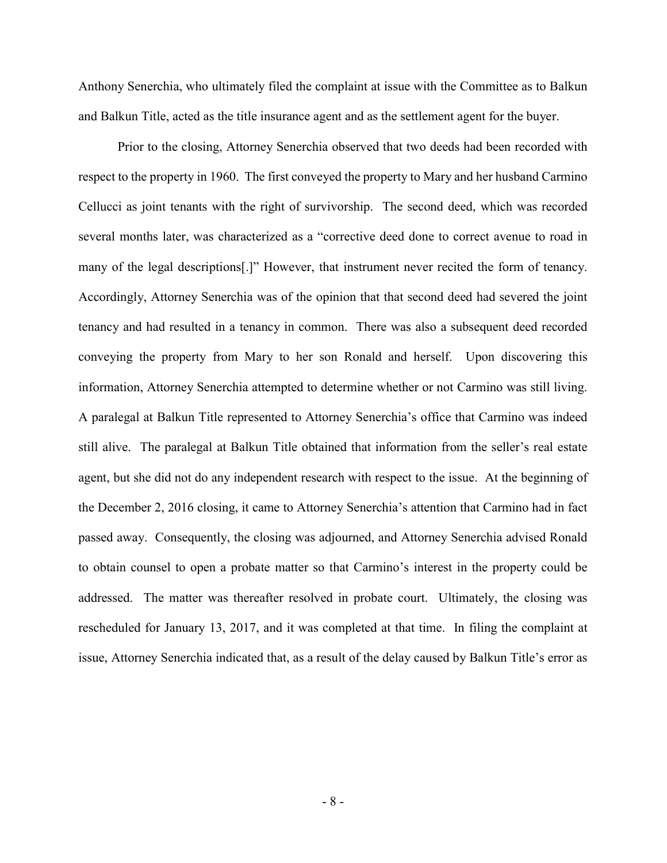Anthony Senerchia, who ultimately filed the complaint at issue with the Committee as to Balkun and Balkun Title, acted as the title insurance agent and as the settlement agent for the buyer.

Prior to the closing, Attorney Senerchia observed that two deeds had been recorded with respect to the property in 1960. The first conveyed the property to Mary and her husband Carmino Cellucci as joint tenants with the right of survivorship. The second deed, which was recorded several months later, was characterized as a "corrective deed done to correct avenue to road in many of the legal descriptions[.]" However, that instrument never recited the form of tenancy. Accordingly, Attorney Senerchia was of the opinion that that second deed had severed the joint tenancy and had resulted in a tenancy in common. There was also a subsequent deed recorded conveying the property from Mary to her son Ronald and herself. Upon discovering this information, Attorney Senerchia attempted to determine whether or not Carmino was still living. A paralegal at Balkun Title represented to Attorney Senerchia's office that Carmino was indeed still alive. The paralegal at Balkun Title obtained that information from the seller's real estate agent, but she did not do any independent research with respect to the issue. At the beginning of the December 2, 2016 closing, it came to Attorney Senerchia's attention that Carmino had in fact passed away. Consequently, the closing was adjourned, and Attorney Senerchia advised Ronald to obtain counsel to open a probate matter so that Carmino's interest in the property could be addressed. The matter was thereafter resolved in probate court. Ultimately, the closing was rescheduled for January 13, 2017, and it was completed at that time. In filing the complaint at issue, Attorney Senerchia indicated that, as a result of the delay caused by Balkun Title's error as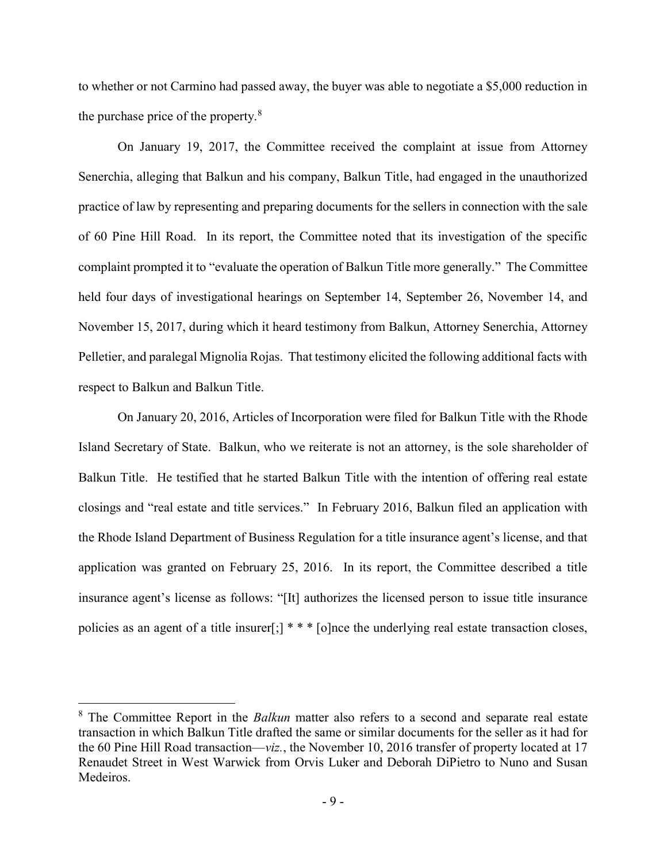to whether or not Carmino had passed away, the buyer was able to negotiate a \$5,000 reduction in the purchase price of the property.<sup>8</sup>

 On January 19, 2017, the Committee received the complaint at issue from Attorney Senerchia, alleging that Balkun and his company, Balkun Title, had engaged in the unauthorized practice of law by representing and preparing documents for the sellers in connection with the sale of 60 Pine Hill Road. In its report, the Committee noted that its investigation of the specific complaint prompted it to "evaluate the operation of Balkun Title more generally." The Committee held four days of investigational hearings on September 14, September 26, November 14, and November 15, 2017, during which it heard testimony from Balkun, Attorney Senerchia, Attorney Pelletier, and paralegal Mignolia Rojas. That testimony elicited the following additional facts with respect to Balkun and Balkun Title.

On January 20, 2016, Articles of Incorporation were filed for Balkun Title with the Rhode Island Secretary of State. Balkun, who we reiterate is not an attorney, is the sole shareholder of Balkun Title. He testified that he started Balkun Title with the intention of offering real estate closings and "real estate and title services." In February 2016, Balkun filed an application with the Rhode Island Department of Business Regulation for a title insurance agent's license, and that application was granted on February 25, 2016. In its report, the Committee described a title insurance agent's license as follows: "[It] authorizes the licensed person to issue title insurance policies as an agent of a title insurer[;] \* \* \* [o]nce the underlying real estate transaction closes,

 $8$  The Committee Report in the *Balkun* matter also refers to a second and separate real estate transaction in which Balkun Title drafted the same or similar documents for the seller as it had for the 60 Pine Hill Road transaction—viz., the November 10, 2016 transfer of property located at 17 Renaudet Street in West Warwick from Orvis Luker and Deborah DiPietro to Nuno and Susan Medeiros.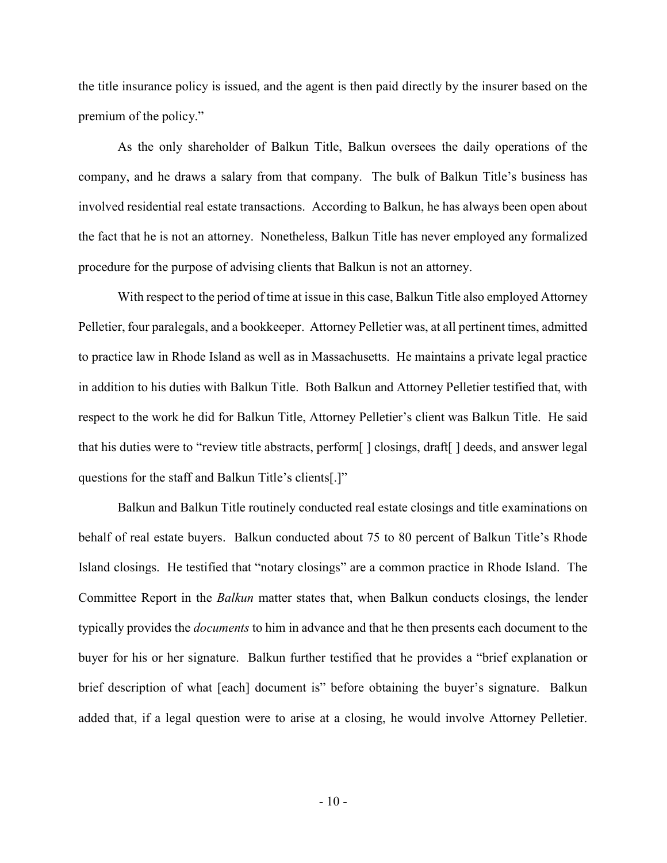the title insurance policy is issued, and the agent is then paid directly by the insurer based on the premium of the policy."

As the only shareholder of Balkun Title, Balkun oversees the daily operations of the company, and he draws a salary from that company. The bulk of Balkun Title's business has involved residential real estate transactions. According to Balkun, he has always been open about the fact that he is not an attorney. Nonetheless, Balkun Title has never employed any formalized procedure for the purpose of advising clients that Balkun is not an attorney.

With respect to the period of time at issue in this case, Balkun Title also employed Attorney Pelletier, four paralegals, and a bookkeeper. Attorney Pelletier was, at all pertinent times, admitted to practice law in Rhode Island as well as in Massachusetts. He maintains a private legal practice in addition to his duties with Balkun Title. Both Balkun and Attorney Pelletier testified that, with respect to the work he did for Balkun Title, Attorney Pelletier's client was Balkun Title. He said that his duties were to "review title abstracts, perform[ ] closings, draft[ ] deeds, and answer legal questions for the staff and Balkun Title's clients[.]"

Balkun and Balkun Title routinely conducted real estate closings and title examinations on behalf of real estate buyers. Balkun conducted about 75 to 80 percent of Balkun Title's Rhode Island closings. He testified that "notary closings" are a common practice in Rhode Island. The Committee Report in the Balkun matter states that, when Balkun conducts closings, the lender typically provides the documents to him in advance and that he then presents each document to the buyer for his or her signature. Balkun further testified that he provides a "brief explanation or brief description of what [each] document is" before obtaining the buyer's signature. Balkun added that, if a legal question were to arise at a closing, he would involve Attorney Pelletier.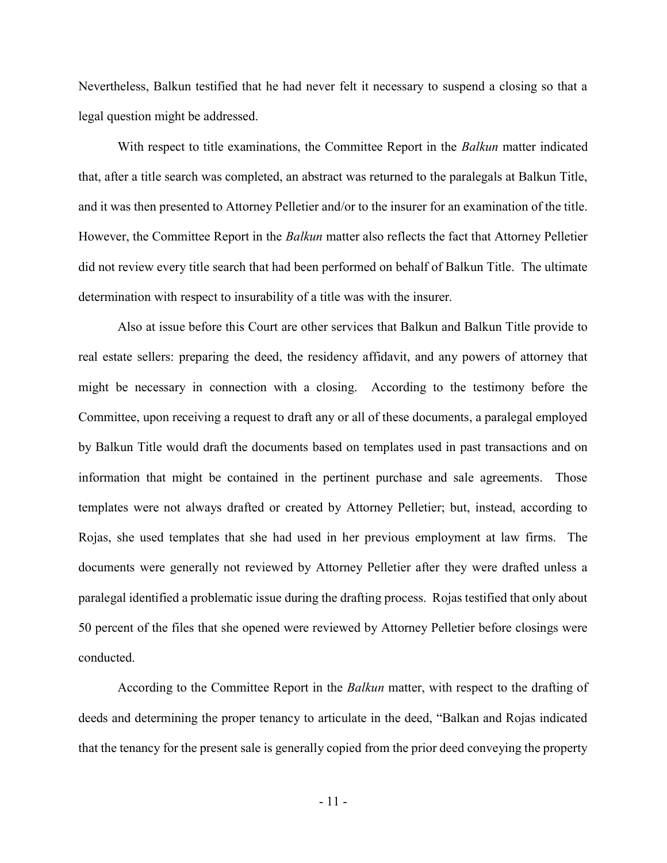Nevertheless, Balkun testified that he had never felt it necessary to suspend a closing so that a legal question might be addressed.

With respect to title examinations, the Committee Report in the *Balkun* matter indicated that, after a title search was completed, an abstract was returned to the paralegals at Balkun Title, and it was then presented to Attorney Pelletier and/or to the insurer for an examination of the title. However, the Committee Report in the *Balkun* matter also reflects the fact that Attorney Pelletier did not review every title search that had been performed on behalf of Balkun Title. The ultimate determination with respect to insurability of a title was with the insurer.

Also at issue before this Court are other services that Balkun and Balkun Title provide to real estate sellers: preparing the deed, the residency affidavit, and any powers of attorney that might be necessary in connection with a closing. According to the testimony before the Committee, upon receiving a request to draft any or all of these documents, a paralegal employed by Balkun Title would draft the documents based on templates used in past transactions and on information that might be contained in the pertinent purchase and sale agreements. Those templates were not always drafted or created by Attorney Pelletier; but, instead, according to Rojas, she used templates that she had used in her previous employment at law firms. The documents were generally not reviewed by Attorney Pelletier after they were drafted unless a paralegal identified a problematic issue during the drafting process. Rojas testified that only about 50 percent of the files that she opened were reviewed by Attorney Pelletier before closings were conducted.

According to the Committee Report in the *Balkun* matter, with respect to the drafting of deeds and determining the proper tenancy to articulate in the deed, "Balkan and Rojas indicated that the tenancy for the present sale is generally copied from the prior deed conveying the property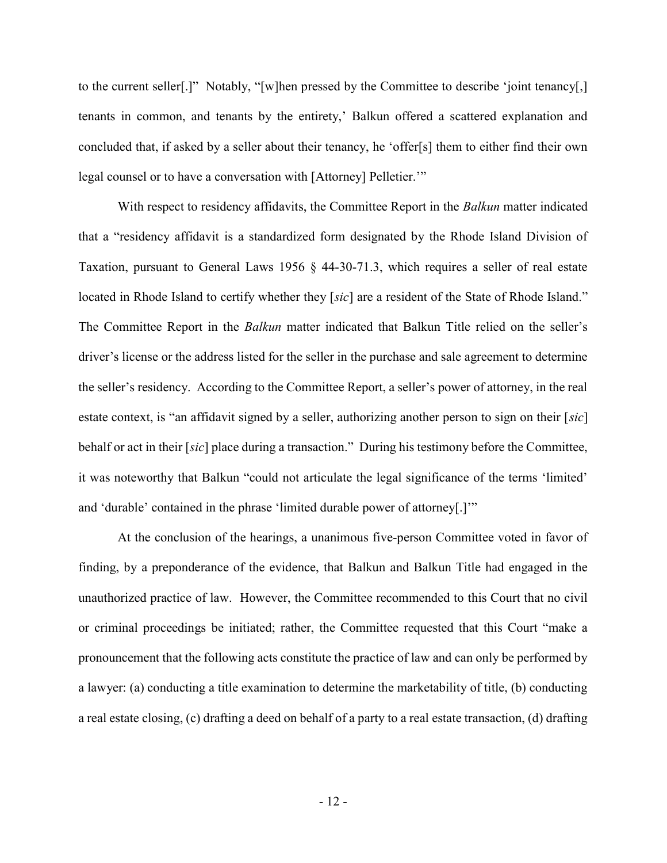to the current seller[.]" Notably, "[w]hen pressed by the Committee to describe 'joint tenancy[,] tenants in common, and tenants by the entirety,' Balkun offered a scattered explanation and concluded that, if asked by a seller about their tenancy, he 'offer[s] them to either find their own legal counsel or to have a conversation with [Attorney] Pelletier.'"

With respect to residency affidavits, the Committee Report in the *Balkun* matter indicated that a "residency affidavit is a standardized form designated by the Rhode Island Division of Taxation, pursuant to General Laws 1956 § 44-30-71.3, which requires a seller of real estate located in Rhode Island to certify whether they [sic] are a resident of the State of Rhode Island." The Committee Report in the *Balkun* matter indicated that Balkun Title relied on the seller's driver's license or the address listed for the seller in the purchase and sale agreement to determine the seller's residency. According to the Committee Report, a seller's power of attorney, in the real estate context, is "an affidavit signed by a seller, authorizing another person to sign on their [sic] behalf or act in their [sic] place during a transaction." During his testimony before the Committee, it was noteworthy that Balkun "could not articulate the legal significance of the terms 'limited' and 'durable' contained in the phrase 'limited durable power of attorney[.]'"

At the conclusion of the hearings, a unanimous five-person Committee voted in favor of finding, by a preponderance of the evidence, that Balkun and Balkun Title had engaged in the unauthorized practice of law. However, the Committee recommended to this Court that no civil or criminal proceedings be initiated; rather, the Committee requested that this Court "make a pronouncement that the following acts constitute the practice of law and can only be performed by a lawyer: (a) conducting a title examination to determine the marketability of title, (b) conducting a real estate closing, (c) drafting a deed on behalf of a party to a real estate transaction, (d) drafting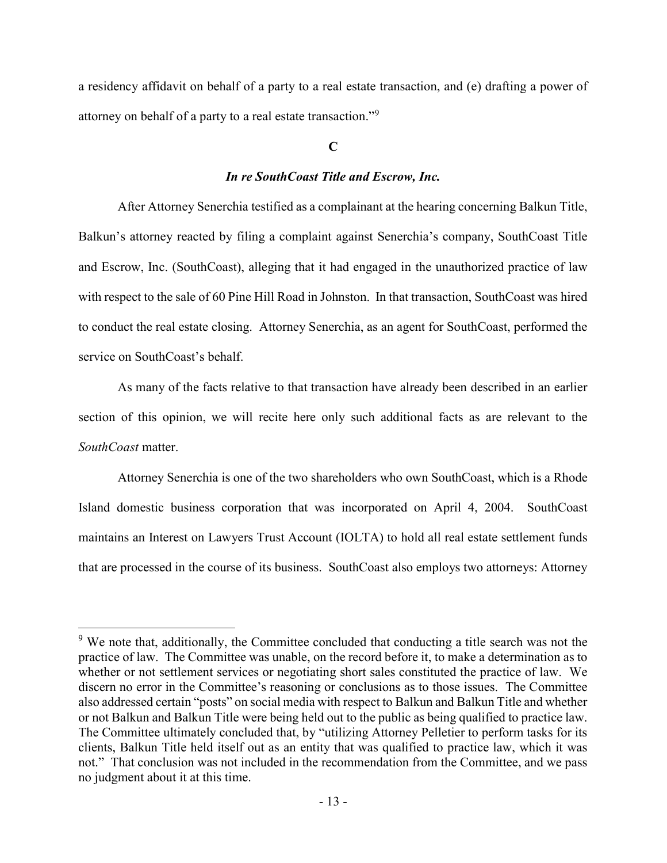a residency affidavit on behalf of a party to a real estate transaction, and (e) drafting a power of attorney on behalf of a party to a real estate transaction."<sup>9</sup>

# $\mathbf C$

# In re SouthCoast Title and Escrow, Inc.

 After Attorney Senerchia testified as a complainant at the hearing concerning Balkun Title, Balkun's attorney reacted by filing a complaint against Senerchia's company, SouthCoast Title and Escrow, Inc. (SouthCoast), alleging that it had engaged in the unauthorized practice of law with respect to the sale of 60 Pine Hill Road in Johnston. In that transaction, SouthCoast was hired to conduct the real estate closing. Attorney Senerchia, as an agent for SouthCoast, performed the service on SouthCoast's behalf.

 As many of the facts relative to that transaction have already been described in an earlier section of this opinion, we will recite here only such additional facts as are relevant to the SouthCoast matter.

Attorney Senerchia is one of the two shareholders who own SouthCoast, which is a Rhode Island domestic business corporation that was incorporated on April 4, 2004. SouthCoast maintains an Interest on Lawyers Trust Account (IOLTA) to hold all real estate settlement funds that are processed in the course of its business. SouthCoast also employs two attorneys: Attorney

 $9$  We note that, additionally, the Committee concluded that conducting a title search was not the practice of law. The Committee was unable, on the record before it, to make a determination as to whether or not settlement services or negotiating short sales constituted the practice of law. We discern no error in the Committee's reasoning or conclusions as to those issues. The Committee also addressed certain "posts" on social media with respect to Balkun and Balkun Title and whether or not Balkun and Balkun Title were being held out to the public as being qualified to practice law. The Committee ultimately concluded that, by "utilizing Attorney Pelletier to perform tasks for its clients, Balkun Title held itself out as an entity that was qualified to practice law, which it was not." That conclusion was not included in the recommendation from the Committee, and we pass no judgment about it at this time.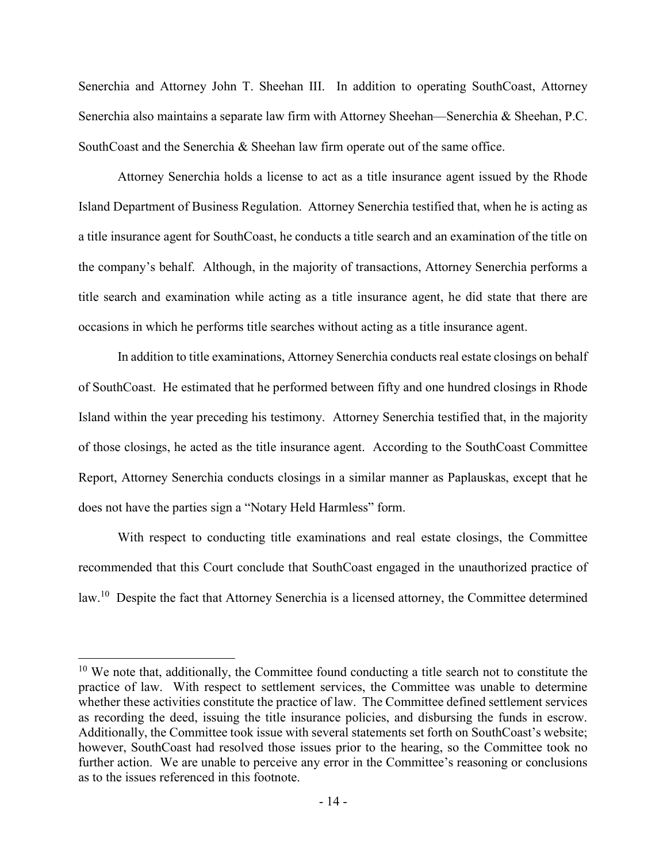Senerchia and Attorney John T. Sheehan III. In addition to operating SouthCoast, Attorney Senerchia also maintains a separate law firm with Attorney Sheehan—Senerchia & Sheehan, P.C. SouthCoast and the Senerchia & Sheehan law firm operate out of the same office.

Attorney Senerchia holds a license to act as a title insurance agent issued by the Rhode Island Department of Business Regulation. Attorney Senerchia testified that, when he is acting as a title insurance agent for SouthCoast, he conducts a title search and an examination of the title on the company's behalf. Although, in the majority of transactions, Attorney Senerchia performs a title search and examination while acting as a title insurance agent, he did state that there are occasions in which he performs title searches without acting as a title insurance agent.

In addition to title examinations, Attorney Senerchia conducts real estate closings on behalf of SouthCoast. He estimated that he performed between fifty and one hundred closings in Rhode Island within the year preceding his testimony. Attorney Senerchia testified that, in the majority of those closings, he acted as the title insurance agent. According to the SouthCoast Committee Report, Attorney Senerchia conducts closings in a similar manner as Paplauskas, except that he does not have the parties sign a "Notary Held Harmless" form.

With respect to conducting title examinations and real estate closings, the Committee recommended that this Court conclude that SouthCoast engaged in the unauthorized practice of law.<sup>10</sup> Despite the fact that Attorney Senerchia is a licensed attorney, the Committee determined

 $10$  We note that, additionally, the Committee found conducting a title search not to constitute the practice of law. With respect to settlement services, the Committee was unable to determine whether these activities constitute the practice of law. The Committee defined settlement services as recording the deed, issuing the title insurance policies, and disbursing the funds in escrow. Additionally, the Committee took issue with several statements set forth on SouthCoast's website; however, SouthCoast had resolved those issues prior to the hearing, so the Committee took no further action. We are unable to perceive any error in the Committee's reasoning or conclusions as to the issues referenced in this footnote.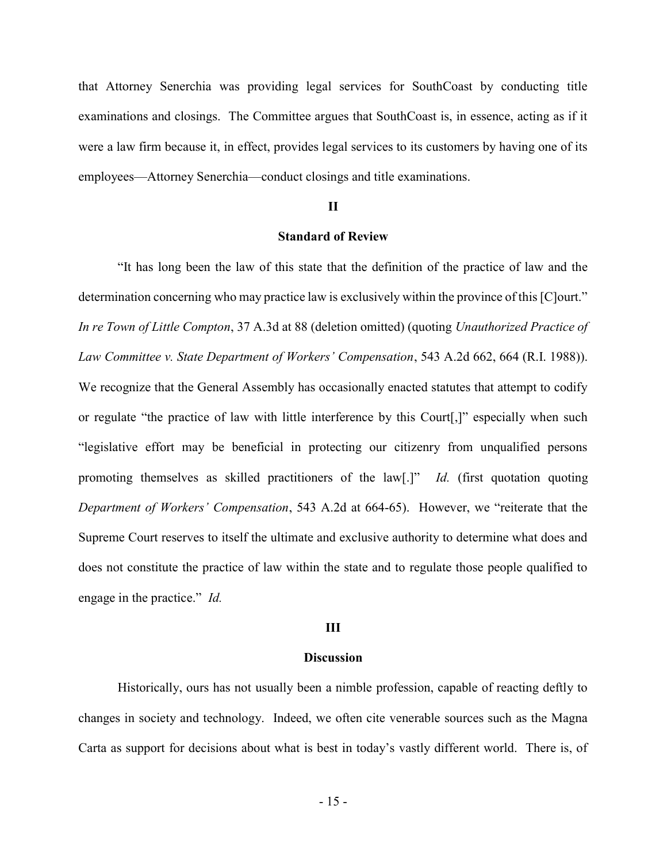that Attorney Senerchia was providing legal services for SouthCoast by conducting title examinations and closings. The Committee argues that SouthCoast is, in essence, acting as if it were a law firm because it, in effect, provides legal services to its customers by having one of its employees—Attorney Senerchia—conduct closings and title examinations.

# II

# Standard of Review

 "It has long been the law of this state that the definition of the practice of law and the determination concerning who may practice law is exclusively within the province of this [C]ourt." In re Town of Little Compton, 37 A.3d at 88 (deletion omitted) (quoting Unauthorized Practice of Law Committee v. State Department of Workers' Compensation, 543 A.2d 662, 664 (R.I. 1988)). We recognize that the General Assembly has occasionally enacted statutes that attempt to codify or regulate "the practice of law with little interference by this Court[,]" especially when such "legislative effort may be beneficial in protecting our citizenry from unqualified persons promoting themselves as skilled practitioners of the law[.]" Id. (first quotation quoting Department of Workers' Compensation, 543 A.2d at 664-65). However, we "reiterate that the Supreme Court reserves to itself the ultimate and exclusive authority to determine what does and does not constitute the practice of law within the state and to regulate those people qualified to engage in the practice." *Id.* 

#### III

## **Discussion**

Historically, ours has not usually been a nimble profession, capable of reacting deftly to changes in society and technology. Indeed, we often cite venerable sources such as the Magna Carta as support for decisions about what is best in today's vastly different world. There is, of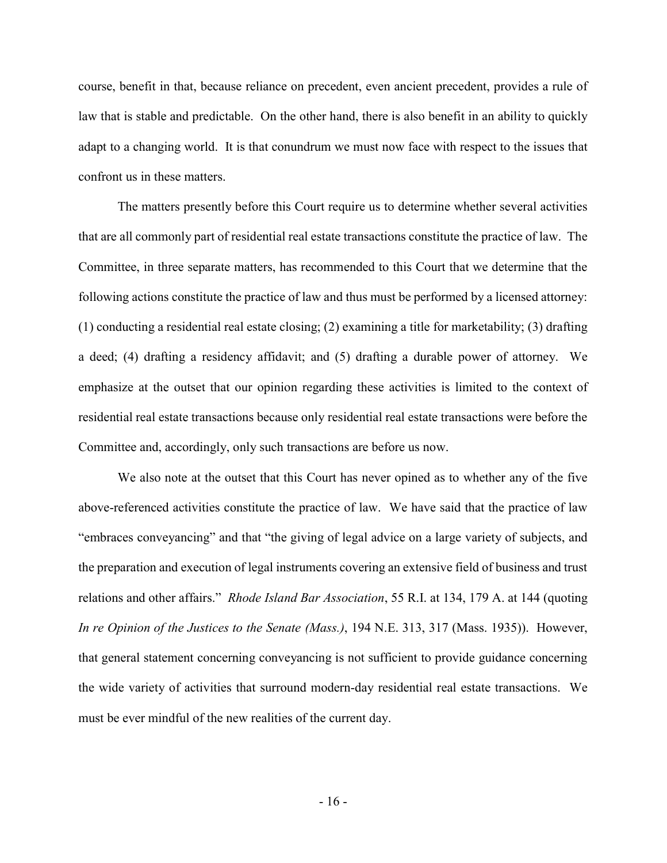course, benefit in that, because reliance on precedent, even ancient precedent, provides a rule of law that is stable and predictable. On the other hand, there is also benefit in an ability to quickly adapt to a changing world. It is that conundrum we must now face with respect to the issues that confront us in these matters.

 The matters presently before this Court require us to determine whether several activities that are all commonly part of residential real estate transactions constitute the practice of law. The Committee, in three separate matters, has recommended to this Court that we determine that the following actions constitute the practice of law and thus must be performed by a licensed attorney: (1) conducting a residential real estate closing; (2) examining a title for marketability; (3) drafting a deed; (4) drafting a residency affidavit; and (5) drafting a durable power of attorney. We emphasize at the outset that our opinion regarding these activities is limited to the context of residential real estate transactions because only residential real estate transactions were before the Committee and, accordingly, only such transactions are before us now.

 We also note at the outset that this Court has never opined as to whether any of the five above-referenced activities constitute the practice of law. We have said that the practice of law "embraces conveyancing" and that "the giving of legal advice on a large variety of subjects, and the preparation and execution of legal instruments covering an extensive field of business and trust relations and other affairs." Rhode Island Bar Association, 55 R.I. at 134, 179 A. at 144 (quoting In re Opinion of the Justices to the Senate (Mass.), 194 N.E. 313, 317 (Mass. 1935)). However, that general statement concerning conveyancing is not sufficient to provide guidance concerning the wide variety of activities that surround modern-day residential real estate transactions. We must be ever mindful of the new realities of the current day.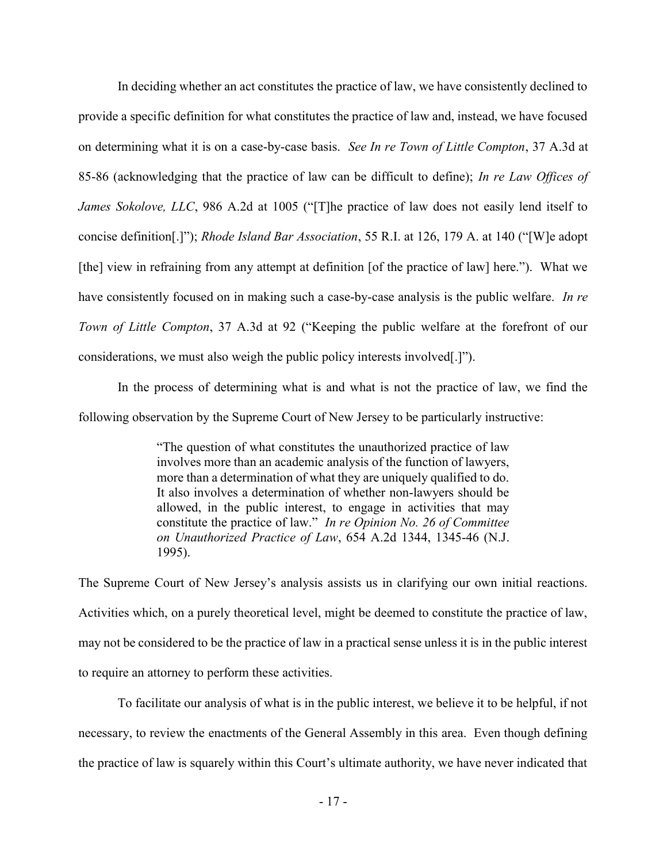In deciding whether an act constitutes the practice of law, we have consistently declined to provide a specific definition for what constitutes the practice of law and, instead, we have focused on determining what it is on a case-by-case basis. See In re Town of Little Compton, 37 A.3d at 85-86 (acknowledging that the practice of law can be difficult to define); In re Law Offices of James Sokolove, LLC, 986 A.2d at 1005 ("[T]he practice of law does not easily lend itself to concise definition[.]"); Rhode Island Bar Association, 55 R.I. at 126, 179 A. at 140 ("[W]e adopt [the] view in refraining from any attempt at definition [of the practice of law] here."). What we have consistently focused on in making such a case-by-case analysis is the public welfare. In re Town of Little Compton, 37 A.3d at 92 ("Keeping the public welfare at the forefront of our considerations, we must also weigh the public policy interests involved[.]").

 In the process of determining what is and what is not the practice of law, we find the following observation by the Supreme Court of New Jersey to be particularly instructive:

> "The question of what constitutes the unauthorized practice of law involves more than an academic analysis of the function of lawyers, more than a determination of what they are uniquely qualified to do. It also involves a determination of whether non-lawyers should be allowed, in the public interest, to engage in activities that may constitute the practice of law." In re Opinion No. 26 of Committee on Unauthorized Practice of Law, 654 A.2d 1344, 1345-46 (N.J. 1995).

The Supreme Court of New Jersey's analysis assists us in clarifying our own initial reactions. Activities which, on a purely theoretical level, might be deemed to constitute the practice of law, may not be considered to be the practice of law in a practical sense unless it is in the public interest to require an attorney to perform these activities.

 To facilitate our analysis of what is in the public interest, we believe it to be helpful, if not necessary, to review the enactments of the General Assembly in this area. Even though defining the practice of law is squarely within this Court's ultimate authority, we have never indicated that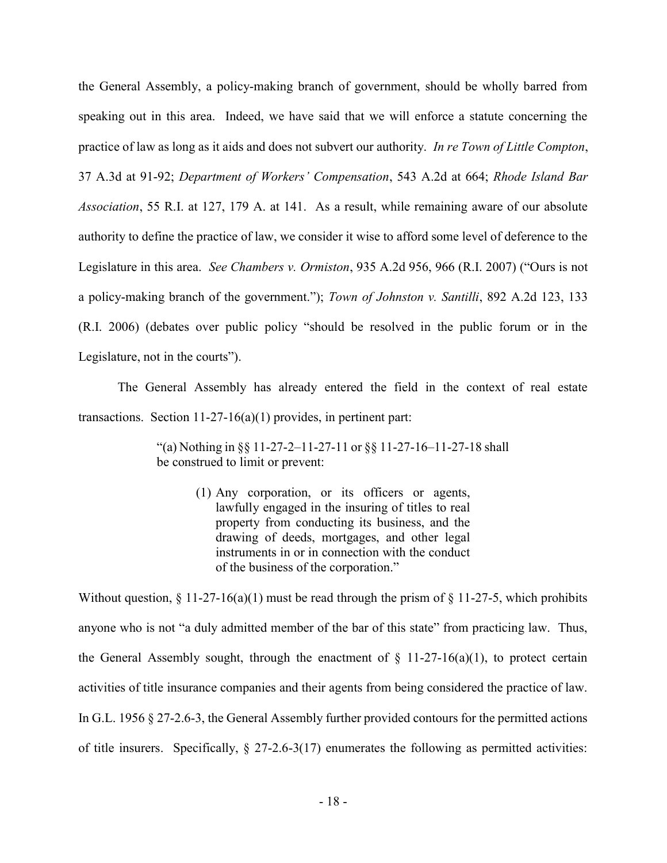the General Assembly, a policy-making branch of government, should be wholly barred from speaking out in this area. Indeed, we have said that we will enforce a statute concerning the practice of law as long as it aids and does not subvert our authority. In re Town of Little Compton, 37 A.3d at 91-92; Department of Workers' Compensation, 543 A.2d at 664; Rhode Island Bar Association, 55 R.I. at 127, 179 A. at 141. As a result, while remaining aware of our absolute authority to define the practice of law, we consider it wise to afford some level of deference to the Legislature in this area. See Chambers v. Ormiston, 935 A.2d 956, 966 (R.I. 2007) ("Ours is not a policy-making branch of the government."); Town of Johnston v. Santilli, 892 A.2d 123, 133 (R.I. 2006) (debates over public policy "should be resolved in the public forum or in the Legislature, not in the courts").

 The General Assembly has already entered the field in the context of real estate transactions. Section 11-27-16(a)(1) provides, in pertinent part:

> "(a) Nothing in §§ 11-27-2–11-27-11 or §§ 11-27-16–11-27-18 shall be construed to limit or prevent:

> > (1) Any corporation, or its officers or agents, lawfully engaged in the insuring of titles to real property from conducting its business, and the drawing of deeds, mortgages, and other legal instruments in or in connection with the conduct of the business of the corporation."

Without question,  $\S 11-27-16(a)(1)$  must be read through the prism of  $\S 11-27-5$ , which prohibits anyone who is not "a duly admitted member of the bar of this state" from practicing law. Thus, the General Assembly sought, through the enactment of  $\S$  11-27-16(a)(1), to protect certain activities of title insurance companies and their agents from being considered the practice of law. In G.L. 1956 § 27-2.6-3, the General Assembly further provided contours for the permitted actions of title insurers. Specifically,  $\S 27-2.6-3(17)$  enumerates the following as permitted activities: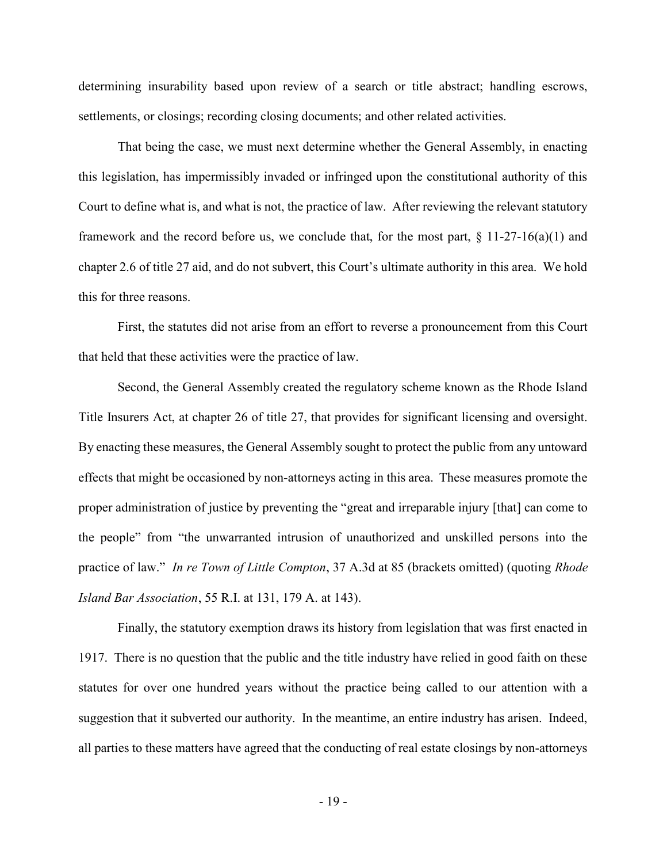determining insurability based upon review of a search or title abstract; handling escrows, settlements, or closings; recording closing documents; and other related activities.

 That being the case, we must next determine whether the General Assembly, in enacting this legislation, has impermissibly invaded or infringed upon the constitutional authority of this Court to define what is, and what is not, the practice of law. After reviewing the relevant statutory framework and the record before us, we conclude that, for the most part,  $\S$  11-27-16(a)(1) and chapter 2.6 of title 27 aid, and do not subvert, this Court's ultimate authority in this area. We hold this for three reasons.

First, the statutes did not arise from an effort to reverse a pronouncement from this Court that held that these activities were the practice of law.

Second, the General Assembly created the regulatory scheme known as the Rhode Island Title Insurers Act, at chapter 26 of title 27, that provides for significant licensing and oversight. By enacting these measures, the General Assembly sought to protect the public from any untoward effects that might be occasioned by non-attorneys acting in this area. These measures promote the proper administration of justice by preventing the "great and irreparable injury [that] can come to the people" from "the unwarranted intrusion of unauthorized and unskilled persons into the practice of law." In re Town of Little Compton, 37 A.3d at 85 (brackets omitted) (quoting Rhode Island Bar Association, 55 R.I. at 131, 179 A. at 143).

Finally, the statutory exemption draws its history from legislation that was first enacted in 1917. There is no question that the public and the title industry have relied in good faith on these statutes for over one hundred years without the practice being called to our attention with a suggestion that it subverted our authority. In the meantime, an entire industry has arisen. Indeed, all parties to these matters have agreed that the conducting of real estate closings by non-attorneys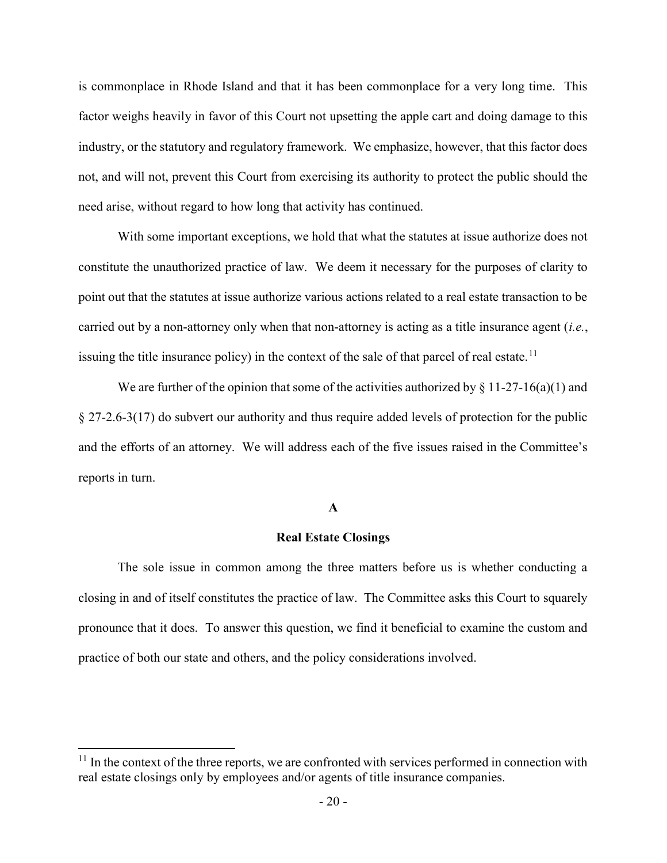is commonplace in Rhode Island and that it has been commonplace for a very long time. This factor weighs heavily in favor of this Court not upsetting the apple cart and doing damage to this industry, or the statutory and regulatory framework. We emphasize, however, that this factor does not, and will not, prevent this Court from exercising its authority to protect the public should the need arise, without regard to how long that activity has continued.

With some important exceptions, we hold that what the statutes at issue authorize does not constitute the unauthorized practice of law. We deem it necessary for the purposes of clarity to point out that the statutes at issue authorize various actions related to a real estate transaction to be carried out by a non-attorney only when that non-attorney is acting as a title insurance agent  $(i.e.,$ issuing the title insurance policy) in the context of the sale of that parcel of real estate.<sup>11</sup>

We are further of the opinion that some of the activities authorized by  $\S 11-27-16(a)(1)$  and § 27-2.6-3(17) do subvert our authority and thus require added levels of protection for the public and the efforts of an attorney. We will address each of the five issues raised in the Committee's reports in turn.

## A

# Real Estate Closings

 The sole issue in common among the three matters before us is whether conducting a closing in and of itself constitutes the practice of law. The Committee asks this Court to squarely pronounce that it does. To answer this question, we find it beneficial to examine the custom and practice of both our state and others, and the policy considerations involved.

 $11$  In the context of the three reports, we are confronted with services performed in connection with real estate closings only by employees and/or agents of title insurance companies.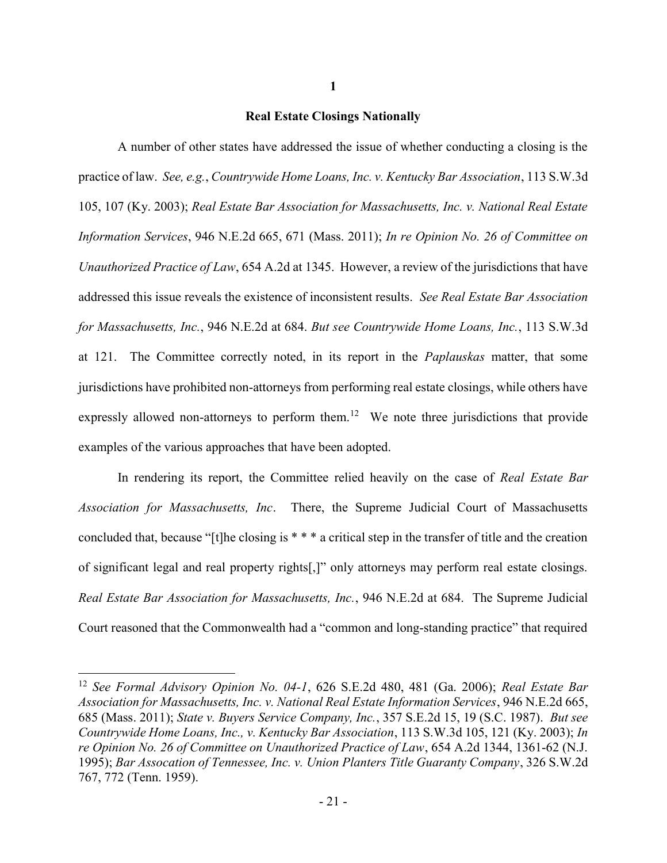## Real Estate Closings Nationally

A number of other states have addressed the issue of whether conducting a closing is the practice of law. See, e.g., Countrywide Home Loans, Inc. v. Kentucky Bar Association, 113 S.W.3d 105, 107 (Ky. 2003); Real Estate Bar Association for Massachusetts, Inc. v. National Real Estate Information Services, 946 N.E.2d 665, 671 (Mass. 2011); In re Opinion No. 26 of Committee on Unauthorized Practice of Law, 654 A.2d at 1345. However, a review of the jurisdictions that have addressed this issue reveals the existence of inconsistent results. See Real Estate Bar Association for Massachusetts, Inc., 946 N.E.2d at 684. But see Countrywide Home Loans, Inc., 113 S.W.3d at 121. The Committee correctly noted, in its report in the *Paplauskas* matter, that some jurisdictions have prohibited non-attorneys from performing real estate closings, while others have expressly allowed non-attorneys to perform them.<sup>12</sup> We note three jurisdictions that provide examples of the various approaches that have been adopted.

In rendering its report, the Committee relied heavily on the case of Real Estate Bar Association for Massachusetts, Inc. There, the Supreme Judicial Court of Massachusetts concluded that, because "[t]he closing is \* \* \* a critical step in the transfer of title and the creation of significant legal and real property rights[,]" only attorneys may perform real estate closings. Real Estate Bar Association for Massachusetts, Inc., 946 N.E.2d at 684. The Supreme Judicial Court reasoned that the Commonwealth had a "common and long-standing practice" that required

 $\overline{a}$ 

1

<sup>&</sup>lt;sup>12</sup> See Formal Advisory Opinion No. 04-1, 626 S.E.2d 480, 481 (Ga. 2006); Real Estate Bar Association for Massachusetts, Inc. v. National Real Estate Information Services, 946 N.E.2d 665, 685 (Mass. 2011); State v. Buyers Service Company, Inc., 357 S.E.2d 15, 19 (S.C. 1987). But see Countrywide Home Loans, Inc., v. Kentucky Bar Association, 113 S.W.3d 105, 121 (Ky. 2003); In re Opinion No. 26 of Committee on Unauthorized Practice of Law, 654 A.2d 1344, 1361-62 (N.J. 1995); Bar Assocation of Tennessee, Inc. v. Union Planters Title Guaranty Company, 326 S.W.2d 767, 772 (Tenn. 1959).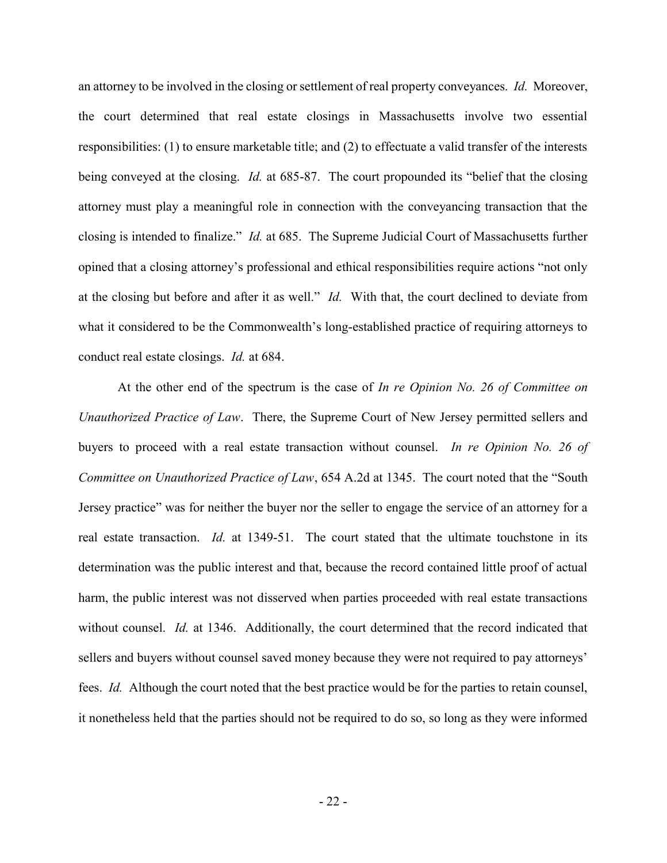an attorney to be involved in the closing or settlement of real property conveyances. Id. Moreover, the court determined that real estate closings in Massachusetts involve two essential responsibilities: (1) to ensure marketable title; and (2) to effectuate a valid transfer of the interests being conveyed at the closing. *Id.* at 685-87. The court propounded its "belief that the closing attorney must play a meaningful role in connection with the conveyancing transaction that the closing is intended to finalize." Id. at 685. The Supreme Judicial Court of Massachusetts further opined that a closing attorney's professional and ethical responsibilities require actions "not only at the closing but before and after it as well." Id. With that, the court declined to deviate from what it considered to be the Commonwealth's long-established practice of requiring attorneys to conduct real estate closings. Id. at 684.

At the other end of the spectrum is the case of In re Opinion No. 26 of Committee on Unauthorized Practice of Law. There, the Supreme Court of New Jersey permitted sellers and buyers to proceed with a real estate transaction without counsel. In re Opinion No. 26 of Committee on Unauthorized Practice of Law, 654 A.2d at 1345. The court noted that the "South Jersey practice" was for neither the buyer nor the seller to engage the service of an attorney for a real estate transaction. Id. at 1349-51. The court stated that the ultimate touchstone in its determination was the public interest and that, because the record contained little proof of actual harm, the public interest was not disserved when parties proceeded with real estate transactions without counsel. *Id.* at 1346. Additionally, the court determined that the record indicated that sellers and buyers without counsel saved money because they were not required to pay attorneys' fees. Id. Although the court noted that the best practice would be for the parties to retain counsel, it nonetheless held that the parties should not be required to do so, so long as they were informed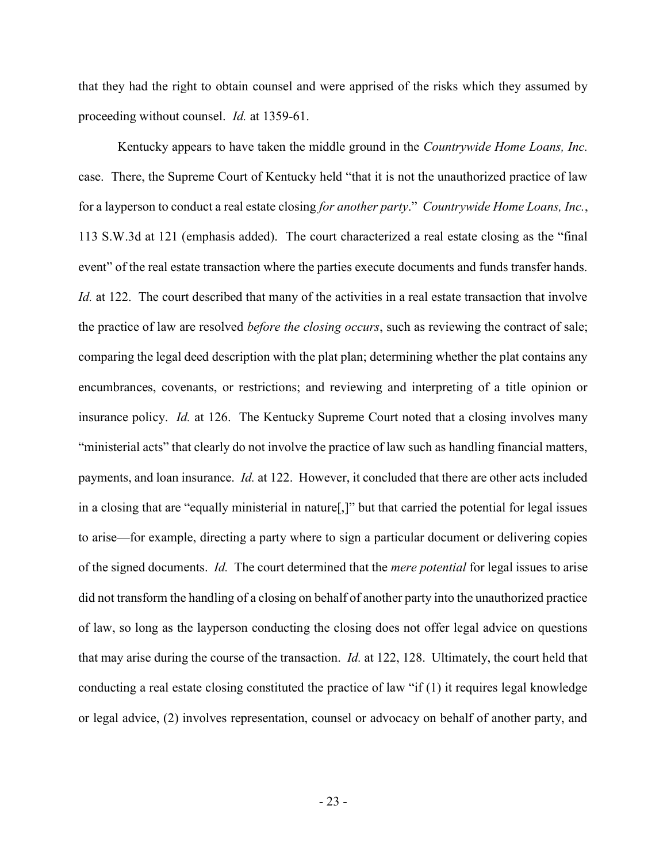that they had the right to obtain counsel and were apprised of the risks which they assumed by proceeding without counsel. Id. at 1359-61.

Kentucky appears to have taken the middle ground in the *Countrywide Home Loans*, Inc. case. There, the Supreme Court of Kentucky held "that it is not the unauthorized practice of law for a layperson to conduct a real estate closing for another party." Countrywide Home Loans, Inc., 113 S.W.3d at 121 (emphasis added). The court characterized a real estate closing as the "final event" of the real estate transaction where the parties execute documents and funds transfer hands. Id. at 122. The court described that many of the activities in a real estate transaction that involve the practice of law are resolved *before the closing occurs*, such as reviewing the contract of sale; comparing the legal deed description with the plat plan; determining whether the plat contains any encumbrances, covenants, or restrictions; and reviewing and interpreting of a title opinion or insurance policy. *Id.* at 126. The Kentucky Supreme Court noted that a closing involves many "ministerial acts" that clearly do not involve the practice of law such as handling financial matters, payments, and loan insurance. Id. at 122. However, it concluded that there are other acts included in a closing that are "equally ministerial in nature[,]" but that carried the potential for legal issues to arise—for example, directing a party where to sign a particular document or delivering copies of the signed documents. Id. The court determined that the *mere potential* for legal issues to arise did not transform the handling of a closing on behalf of another party into the unauthorized practice of law, so long as the layperson conducting the closing does not offer legal advice on questions that may arise during the course of the transaction. *Id.* at 122, 128. Ultimately, the court held that conducting a real estate closing constituted the practice of law "if (1) it requires legal knowledge or legal advice, (2) involves representation, counsel or advocacy on behalf of another party, and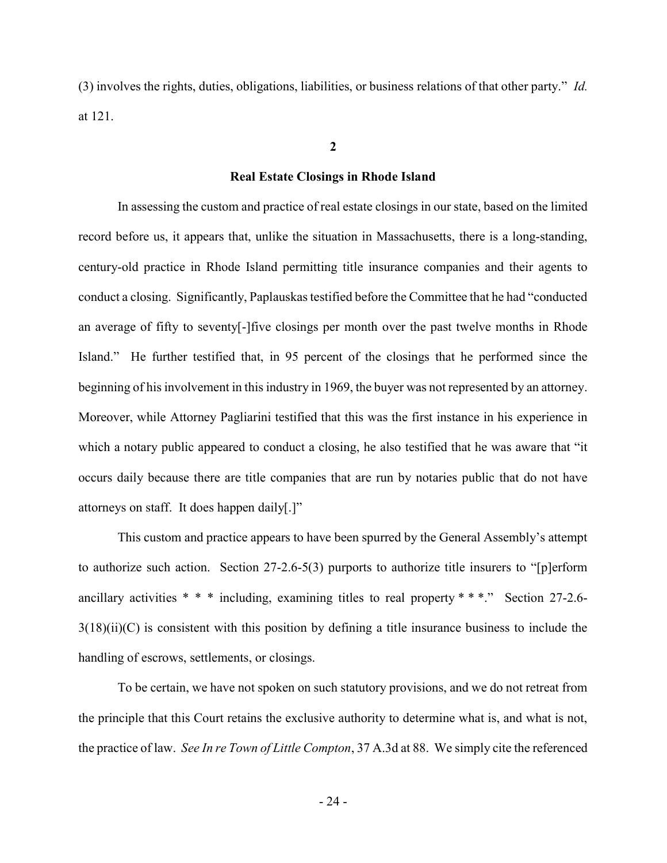(3) involves the rights, duties, obligations, liabilities, or business relations of that other party." Id. at 121.

# 2

#### Real Estate Closings in Rhode Island

 In assessing the custom and practice of real estate closings in our state, based on the limited record before us, it appears that, unlike the situation in Massachusetts, there is a long-standing, century-old practice in Rhode Island permitting title insurance companies and their agents to conduct a closing. Significantly, Paplauskas testified before the Committee that he had "conducted an average of fifty to seventy[-]five closings per month over the past twelve months in Rhode Island." He further testified that, in 95 percent of the closings that he performed since the beginning of his involvement in this industry in 1969, the buyer was not represented by an attorney. Moreover, while Attorney Pagliarini testified that this was the first instance in his experience in which a notary public appeared to conduct a closing, he also testified that he was aware that "it occurs daily because there are title companies that are run by notaries public that do not have attorneys on staff. It does happen daily[.]"

This custom and practice appears to have been spurred by the General Assembly's attempt to authorize such action. Section 27-2.6-5(3) purports to authorize title insurers to "[p]erform ancillary activities \* \* \* including, examining titles to real property \* \* \*." Section 27-2.6-  $3(18)(ii)(C)$  is consistent with this position by defining a title insurance business to include the handling of escrows, settlements, or closings.

To be certain, we have not spoken on such statutory provisions, and we do not retreat from the principle that this Court retains the exclusive authority to determine what is, and what is not, the practice of law. See In re Town of Little Compton, 37 A.3d at 88. We simply cite the referenced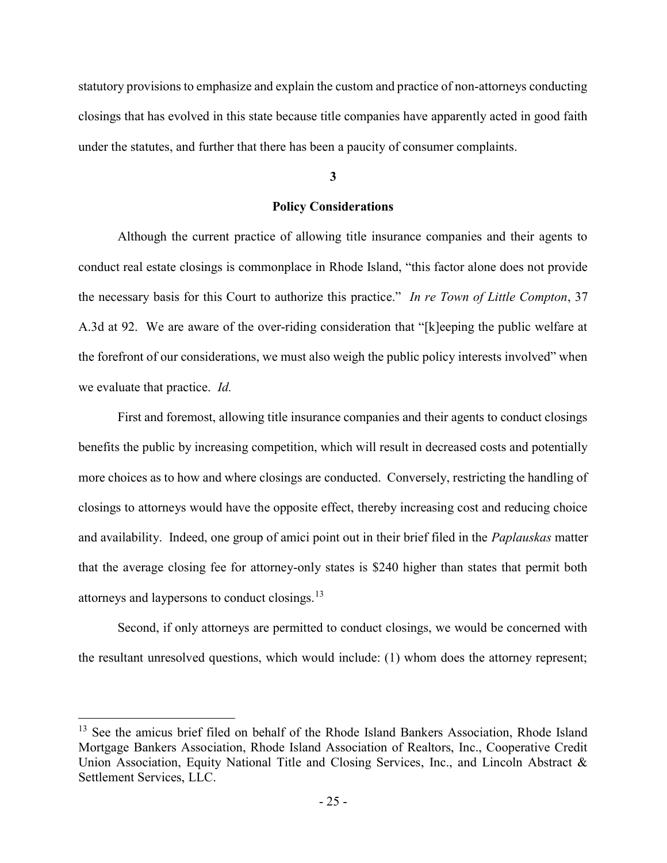statutory provisions to emphasize and explain the custom and practice of non-attorneys conducting closings that has evolved in this state because title companies have apparently acted in good faith under the statutes, and further that there has been a paucity of consumer complaints.

#### 3

# Policy Considerations

Although the current practice of allowing title insurance companies and their agents to conduct real estate closings is commonplace in Rhode Island, "this factor alone does not provide the necessary basis for this Court to authorize this practice." In re Town of Little Compton, 37 A.3d at 92. We are aware of the over-riding consideration that "[k]eeping the public welfare at the forefront of our considerations, we must also weigh the public policy interests involved" when we evaluate that practice. Id.

First and foremost, allowing title insurance companies and their agents to conduct closings benefits the public by increasing competition, which will result in decreased costs and potentially more choices as to how and where closings are conducted. Conversely, restricting the handling of closings to attorneys would have the opposite effect, thereby increasing cost and reducing choice and availability. Indeed, one group of amici point out in their brief filed in the *Paplauskas* matter that the average closing fee for attorney-only states is \$240 higher than states that permit both attorneys and laypersons to conduct closings.<sup>13</sup>

Second, if only attorneys are permitted to conduct closings, we would be concerned with the resultant unresolved questions, which would include: (1) whom does the attorney represent;

<sup>&</sup>lt;sup>13</sup> See the amicus brief filed on behalf of the Rhode Island Bankers Association, Rhode Island Mortgage Bankers Association, Rhode Island Association of Realtors, Inc., Cooperative Credit Union Association, Equity National Title and Closing Services, Inc., and Lincoln Abstract & Settlement Services, LLC.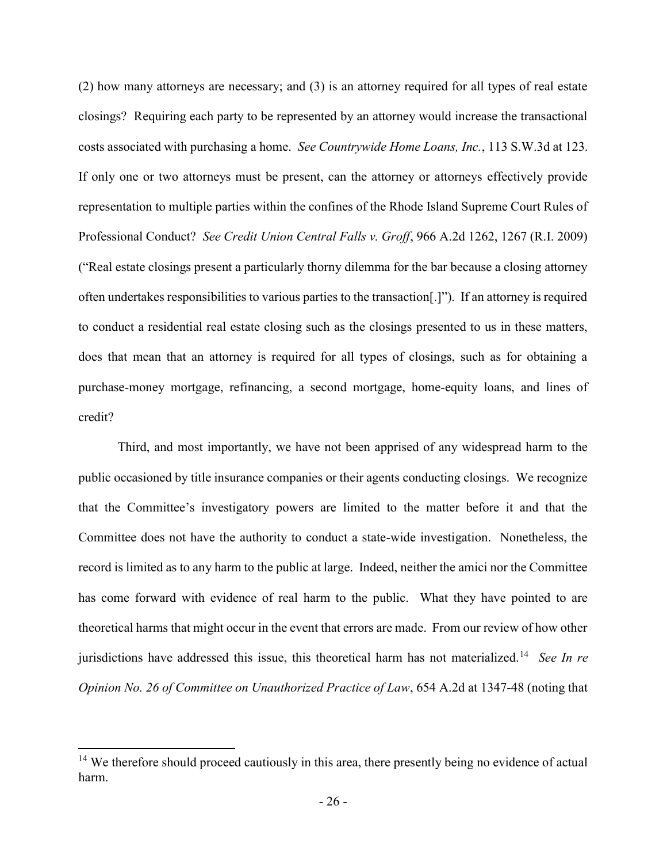(2) how many attorneys are necessary; and (3) is an attorney required for all types of real estate closings? Requiring each party to be represented by an attorney would increase the transactional costs associated with purchasing a home. See Countrywide Home Loans, Inc., 113 S.W.3d at 123. If only one or two attorneys must be present, can the attorney or attorneys effectively provide representation to multiple parties within the confines of the Rhode Island Supreme Court Rules of Professional Conduct? See Credit Union Central Falls v. Groff, 966 A.2d 1262, 1267 (R.I. 2009) ("Real estate closings present a particularly thorny dilemma for the bar because a closing attorney often undertakes responsibilities to various parties to the transaction[.]"). If an attorney is required to conduct a residential real estate closing such as the closings presented to us in these matters, does that mean that an attorney is required for all types of closings, such as for obtaining a purchase-money mortgage, refinancing, a second mortgage, home-equity loans, and lines of credit?

Third, and most importantly, we have not been apprised of any widespread harm to the public occasioned by title insurance companies or their agents conducting closings. We recognize that the Committee's investigatory powers are limited to the matter before it and that the Committee does not have the authority to conduct a state-wide investigation. Nonetheless, the record is limited as to any harm to the public at large. Indeed, neither the amici nor the Committee has come forward with evidence of real harm to the public. What they have pointed to are theoretical harms that might occur in the event that errors are made. From our review of how other jurisdictions have addressed this issue, this theoretical harm has not materialized.<sup>14</sup> See In re Opinion No. 26 of Committee on Unauthorized Practice of Law, 654 A.2d at 1347-48 (noting that

<sup>&</sup>lt;sup>14</sup> We therefore should proceed cautiously in this area, there presently being no evidence of actual harm.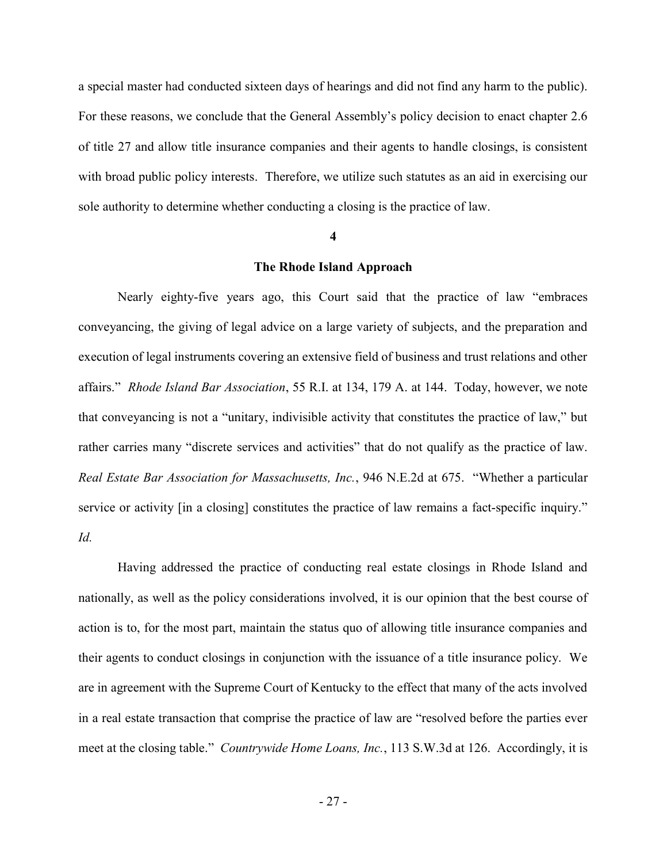a special master had conducted sixteen days of hearings and did not find any harm to the public). For these reasons, we conclude that the General Assembly's policy decision to enact chapter 2.6 of title 27 and allow title insurance companies and their agents to handle closings, is consistent with broad public policy interests. Therefore, we utilize such statutes as an aid in exercising our sole authority to determine whether conducting a closing is the practice of law.

#### 4

# The Rhode Island Approach

 Nearly eighty-five years ago, this Court said that the practice of law "embraces conveyancing, the giving of legal advice on a large variety of subjects, and the preparation and execution of legal instruments covering an extensive field of business and trust relations and other affairs." Rhode Island Bar Association, 55 R.I. at 134, 179 A. at 144. Today, however, we note that conveyancing is not a "unitary, indivisible activity that constitutes the practice of law," but rather carries many "discrete services and activities" that do not qualify as the practice of law. Real Estate Bar Association for Massachusetts, Inc., 946 N.E.2d at 675. "Whether a particular service or activity [in a closing] constitutes the practice of law remains a fact-specific inquiry." Id.

Having addressed the practice of conducting real estate closings in Rhode Island and nationally, as well as the policy considerations involved, it is our opinion that the best course of action is to, for the most part, maintain the status quo of allowing title insurance companies and their agents to conduct closings in conjunction with the issuance of a title insurance policy. We are in agreement with the Supreme Court of Kentucky to the effect that many of the acts involved in a real estate transaction that comprise the practice of law are "resolved before the parties ever meet at the closing table." Countrywide Home Loans, Inc., 113 S.W.3d at 126. Accordingly, it is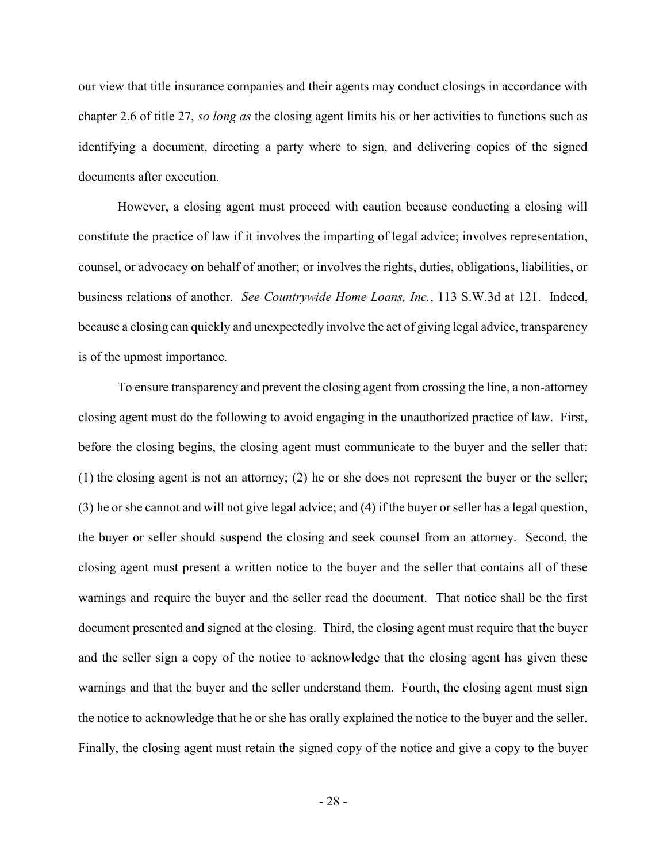our view that title insurance companies and their agents may conduct closings in accordance with chapter 2.6 of title 27, so long as the closing agent limits his or her activities to functions such as identifying a document, directing a party where to sign, and delivering copies of the signed documents after execution.

However, a closing agent must proceed with caution because conducting a closing will constitute the practice of law if it involves the imparting of legal advice; involves representation, counsel, or advocacy on behalf of another; or involves the rights, duties, obligations, liabilities, or business relations of another. See Countrywide Home Loans, Inc., 113 S.W.3d at 121. Indeed, because a closing can quickly and unexpectedly involve the act of giving legal advice, transparency is of the upmost importance.

To ensure transparency and prevent the closing agent from crossing the line, a non-attorney closing agent must do the following to avoid engaging in the unauthorized practice of law. First, before the closing begins, the closing agent must communicate to the buyer and the seller that: (1) the closing agent is not an attorney; (2) he or she does not represent the buyer or the seller; (3) he or she cannot and will not give legal advice; and (4) if the buyer or seller has a legal question, the buyer or seller should suspend the closing and seek counsel from an attorney. Second, the closing agent must present a written notice to the buyer and the seller that contains all of these warnings and require the buyer and the seller read the document. That notice shall be the first document presented and signed at the closing. Third, the closing agent must require that the buyer and the seller sign a copy of the notice to acknowledge that the closing agent has given these warnings and that the buyer and the seller understand them. Fourth, the closing agent must sign the notice to acknowledge that he or she has orally explained the notice to the buyer and the seller. Finally, the closing agent must retain the signed copy of the notice and give a copy to the buyer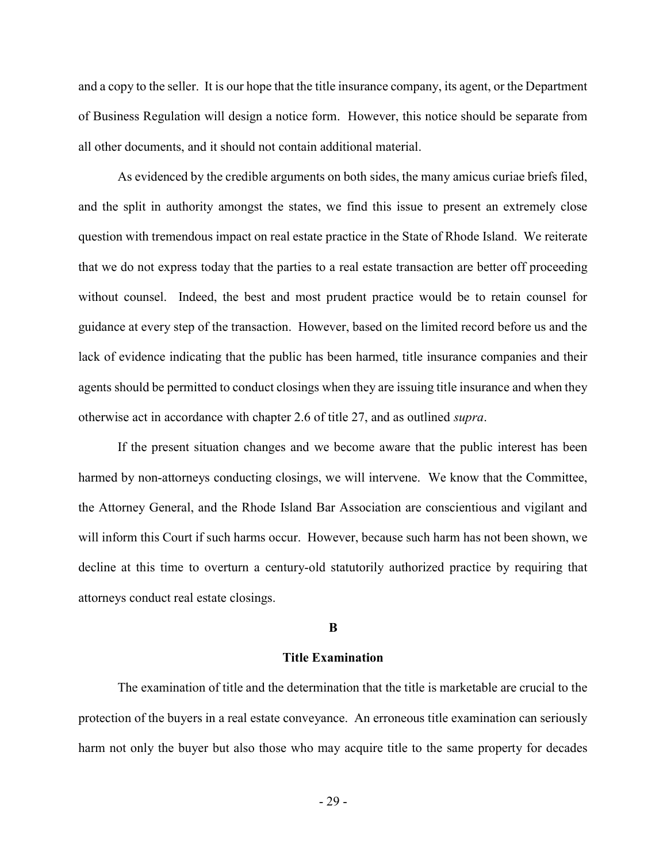and a copy to the seller. It is our hope that the title insurance company, its agent, or the Department of Business Regulation will design a notice form. However, this notice should be separate from all other documents, and it should not contain additional material.

As evidenced by the credible arguments on both sides, the many amicus curiae briefs filed, and the split in authority amongst the states, we find this issue to present an extremely close question with tremendous impact on real estate practice in the State of Rhode Island. We reiterate that we do not express today that the parties to a real estate transaction are better off proceeding without counsel. Indeed, the best and most prudent practice would be to retain counsel for guidance at every step of the transaction. However, based on the limited record before us and the lack of evidence indicating that the public has been harmed, title insurance companies and their agents should be permitted to conduct closings when they are issuing title insurance and when they otherwise act in accordance with chapter 2.6 of title 27, and as outlined supra.

If the present situation changes and we become aware that the public interest has been harmed by non-attorneys conducting closings, we will intervene. We know that the Committee, the Attorney General, and the Rhode Island Bar Association are conscientious and vigilant and will inform this Court if such harms occur. However, because such harm has not been shown, we decline at this time to overturn a century-old statutorily authorized practice by requiring that attorneys conduct real estate closings.

#### B

## Title Examination

The examination of title and the determination that the title is marketable are crucial to the protection of the buyers in a real estate conveyance. An erroneous title examination can seriously harm not only the buyer but also those who may acquire title to the same property for decades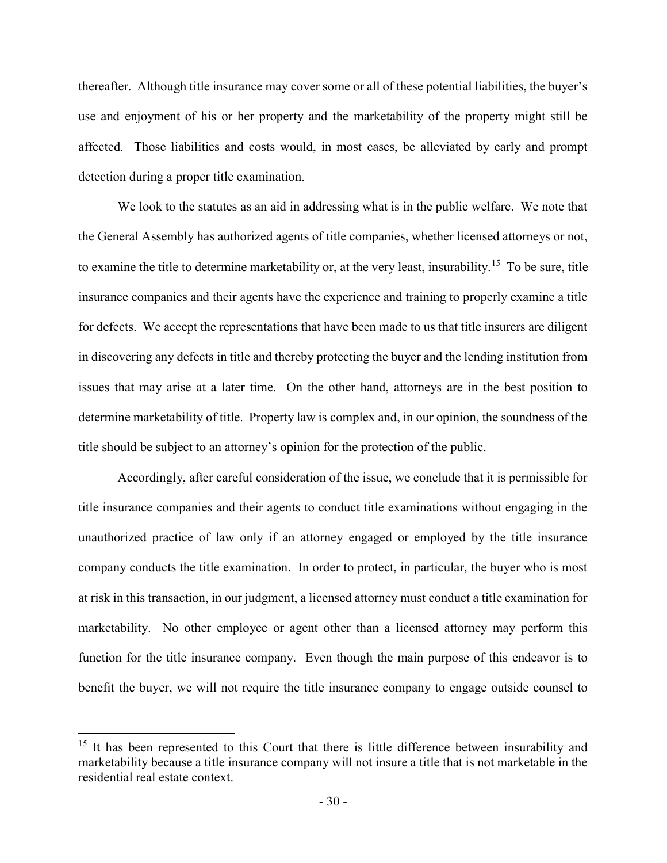thereafter. Although title insurance may cover some or all of these potential liabilities, the buyer's use and enjoyment of his or her property and the marketability of the property might still be affected. Those liabilities and costs would, in most cases, be alleviated by early and prompt detection during a proper title examination.

We look to the statutes as an aid in addressing what is in the public welfare. We note that the General Assembly has authorized agents of title companies, whether licensed attorneys or not, to examine the title to determine marketability or, at the very least, insurability.<sup>15</sup> To be sure, title insurance companies and their agents have the experience and training to properly examine a title for defects. We accept the representations that have been made to us that title insurers are diligent in discovering any defects in title and thereby protecting the buyer and the lending institution from issues that may arise at a later time. On the other hand, attorneys are in the best position to determine marketability of title. Property law is complex and, in our opinion, the soundness of the title should be subject to an attorney's opinion for the protection of the public.

Accordingly, after careful consideration of the issue, we conclude that it is permissible for title insurance companies and their agents to conduct title examinations without engaging in the unauthorized practice of law only if an attorney engaged or employed by the title insurance company conducts the title examination. In order to protect, in particular, the buyer who is most at risk in this transaction, in our judgment, a licensed attorney must conduct a title examination for marketability. No other employee or agent other than a licensed attorney may perform this function for the title insurance company. Even though the main purpose of this endeavor is to benefit the buyer, we will not require the title insurance company to engage outside counsel to

<sup>&</sup>lt;sup>15</sup> It has been represented to this Court that there is little difference between insurability and marketability because a title insurance company will not insure a title that is not marketable in the residential real estate context.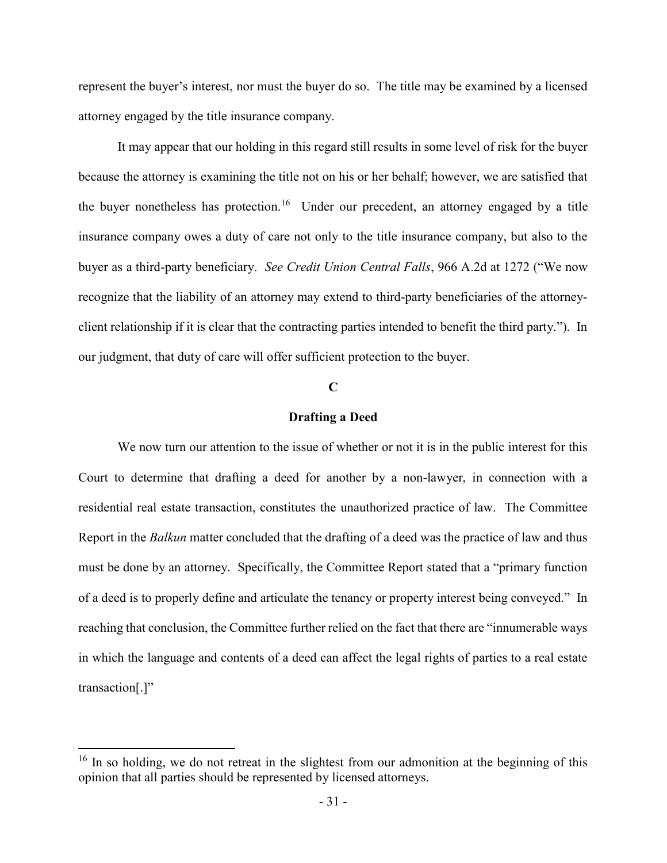represent the buyer's interest, nor must the buyer do so. The title may be examined by a licensed attorney engaged by the title insurance company.

It may appear that our holding in this regard still results in some level of risk for the buyer because the attorney is examining the title not on his or her behalf; however, we are satisfied that the buyer nonetheless has protection.<sup>16</sup> Under our precedent, an attorney engaged by a title insurance company owes a duty of care not only to the title insurance company, but also to the buyer as a third-party beneficiary. See Credit Union Central Falls, 966 A.2d at 1272 ("We now recognize that the liability of an attorney may extend to third-party beneficiaries of the attorneyclient relationship if it is clear that the contracting parties intended to benefit the third party."). In our judgment, that duty of care will offer sufficient protection to the buyer.

# C

## Drafting a Deed

We now turn our attention to the issue of whether or not it is in the public interest for this Court to determine that drafting a deed for another by a non-lawyer, in connection with a residential real estate transaction, constitutes the unauthorized practice of law. The Committee Report in the *Balkun* matter concluded that the drafting of a deed was the practice of law and thus must be done by an attorney. Specifically, the Committee Report stated that a "primary function of a deed is to properly define and articulate the tenancy or property interest being conveyed." In reaching that conclusion, the Committee further relied on the fact that there are "innumerable ways in which the language and contents of a deed can affect the legal rights of parties to a real estate transaction[.]"

<sup>&</sup>lt;sup>16</sup> In so holding, we do not retreat in the slightest from our admonition at the beginning of this opinion that all parties should be represented by licensed attorneys.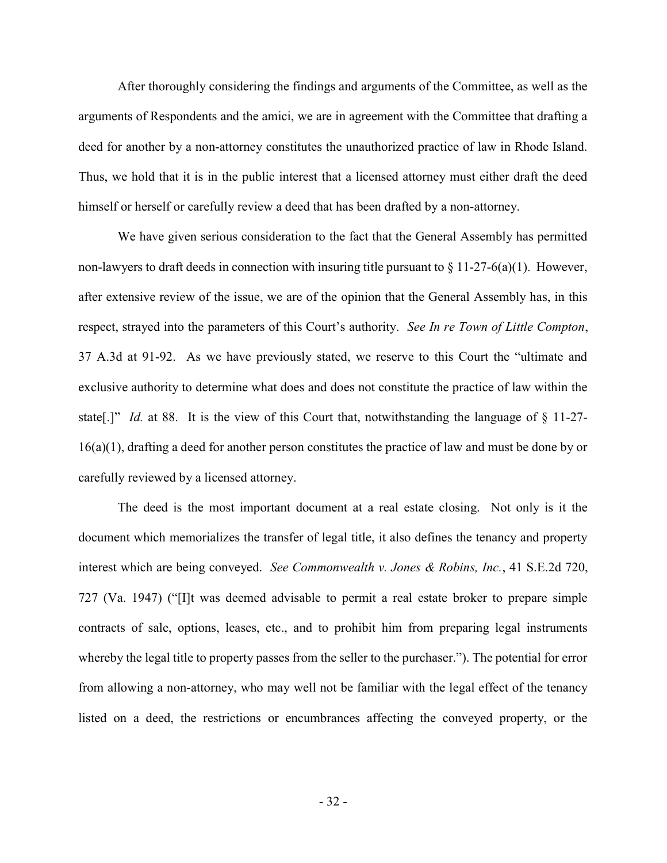After thoroughly considering the findings and arguments of the Committee, as well as the arguments of Respondents and the amici, we are in agreement with the Committee that drafting a deed for another by a non-attorney constitutes the unauthorized practice of law in Rhode Island. Thus, we hold that it is in the public interest that a licensed attorney must either draft the deed himself or herself or carefully review a deed that has been drafted by a non-attorney.

We have given serious consideration to the fact that the General Assembly has permitted non-lawyers to draft deeds in connection with insuring title pursuant to  $\S 11-27-6(a)(1)$ . However, after extensive review of the issue, we are of the opinion that the General Assembly has, in this respect, strayed into the parameters of this Court's authority. See In re Town of Little Compton, 37 A.3d at 91-92. As we have previously stated, we reserve to this Court the "ultimate and exclusive authority to determine what does and does not constitute the practice of law within the state[.]" Id. at 88. It is the view of this Court that, notwithstanding the language of  $\S$  11-27-16(a)(1), drafting a deed for another person constitutes the practice of law and must be done by or carefully reviewed by a licensed attorney.

The deed is the most important document at a real estate closing. Not only is it the document which memorializes the transfer of legal title, it also defines the tenancy and property interest which are being conveyed. See Commonwealth v. Jones & Robins, Inc., 41 S.E.2d 720, 727 (Va. 1947) ("[I]t was deemed advisable to permit a real estate broker to prepare simple contracts of sale, options, leases, etc., and to prohibit him from preparing legal instruments whereby the legal title to property passes from the seller to the purchaser."). The potential for error from allowing a non-attorney, who may well not be familiar with the legal effect of the tenancy listed on a deed, the restrictions or encumbrances affecting the conveyed property, or the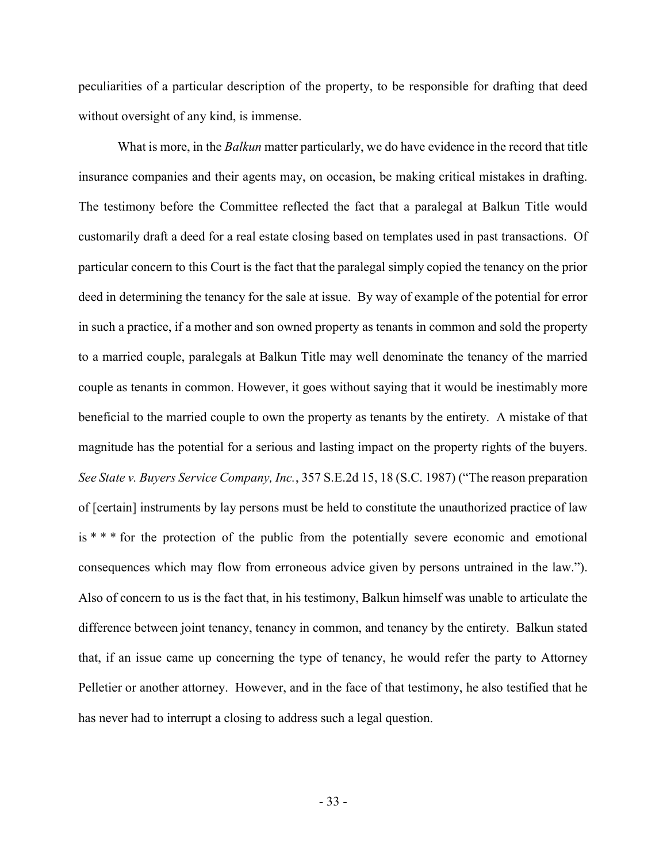peculiarities of a particular description of the property, to be responsible for drafting that deed without oversight of any kind, is immense.

What is more, in the *Balkun* matter particularly, we do have evidence in the record that title insurance companies and their agents may, on occasion, be making critical mistakes in drafting. The testimony before the Committee reflected the fact that a paralegal at Balkun Title would customarily draft a deed for a real estate closing based on templates used in past transactions. Of particular concern to this Court is the fact that the paralegal simply copied the tenancy on the prior deed in determining the tenancy for the sale at issue. By way of example of the potential for error in such a practice, if a mother and son owned property as tenants in common and sold the property to a married couple, paralegals at Balkun Title may well denominate the tenancy of the married couple as tenants in common. However, it goes without saying that it would be inestimably more beneficial to the married couple to own the property as tenants by the entirety. A mistake of that magnitude has the potential for a serious and lasting impact on the property rights of the buyers. See State v. Buyers Service Company, Inc., 357 S.E.2d 15, 18 (S.C. 1987) ("The reason preparation of [certain] instruments by lay persons must be held to constitute the unauthorized practice of law is \* \* \* for the protection of the public from the potentially severe economic and emotional consequences which may flow from erroneous advice given by persons untrained in the law."). Also of concern to us is the fact that, in his testimony, Balkun himself was unable to articulate the difference between joint tenancy, tenancy in common, and tenancy by the entirety. Balkun stated that, if an issue came up concerning the type of tenancy, he would refer the party to Attorney Pelletier or another attorney. However, and in the face of that testimony, he also testified that he has never had to interrupt a closing to address such a legal question.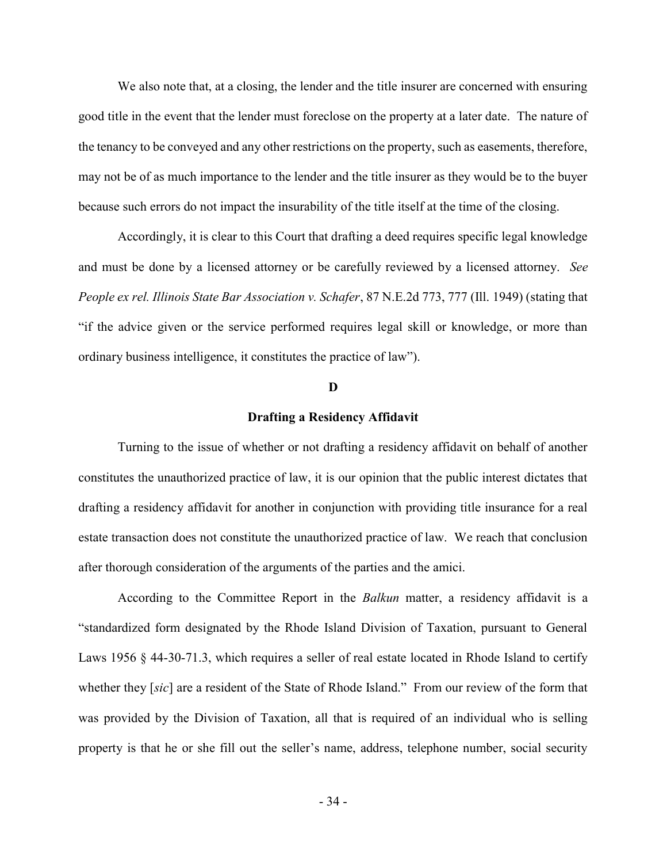We also note that, at a closing, the lender and the title insurer are concerned with ensuring good title in the event that the lender must foreclose on the property at a later date. The nature of the tenancy to be conveyed and any other restrictions on the property, such as easements, therefore, may not be of as much importance to the lender and the title insurer as they would be to the buyer because such errors do not impact the insurability of the title itself at the time of the closing.

Accordingly, it is clear to this Court that drafting a deed requires specific legal knowledge and must be done by a licensed attorney or be carefully reviewed by a licensed attorney. See People ex rel. Illinois State Bar Association v. Schafer, 87 N.E.2d 773, 777 (Ill. 1949) (stating that "if the advice given or the service performed requires legal skill or knowledge, or more than ordinary business intelligence, it constitutes the practice of law").

#### D

#### Drafting a Residency Affidavit

 Turning to the issue of whether or not drafting a residency affidavit on behalf of another constitutes the unauthorized practice of law, it is our opinion that the public interest dictates that drafting a residency affidavit for another in conjunction with providing title insurance for a real estate transaction does not constitute the unauthorized practice of law. We reach that conclusion after thorough consideration of the arguments of the parties and the amici.

According to the Committee Report in the *Balkun* matter, a residency affidavit is a "standardized form designated by the Rhode Island Division of Taxation, pursuant to General Laws 1956 § 44-30-71.3, which requires a seller of real estate located in Rhode Island to certify whether they [sic] are a resident of the State of Rhode Island." From our review of the form that was provided by the Division of Taxation, all that is required of an individual who is selling property is that he or she fill out the seller's name, address, telephone number, social security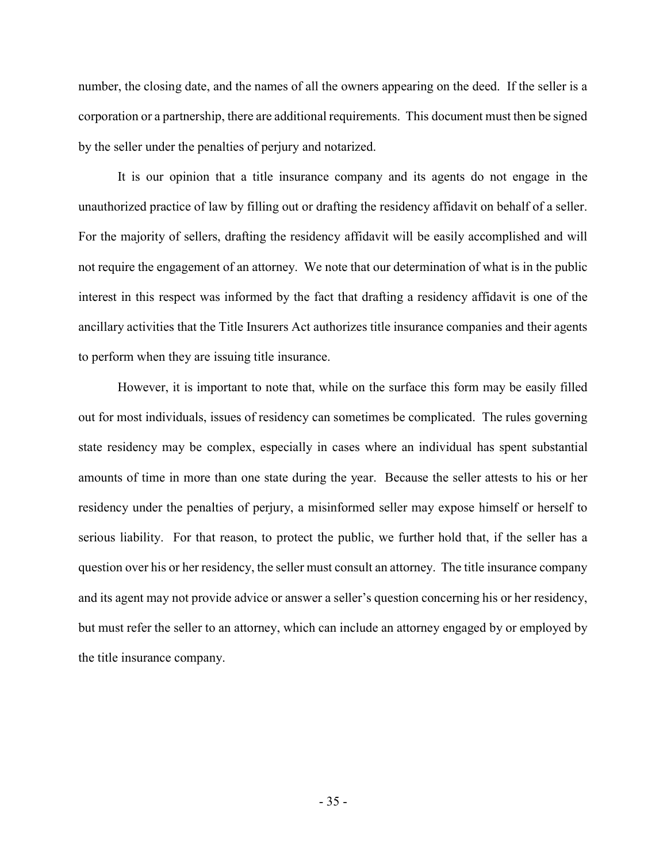number, the closing date, and the names of all the owners appearing on the deed. If the seller is a corporation or a partnership, there are additional requirements. This document must then be signed by the seller under the penalties of perjury and notarized.

 It is our opinion that a title insurance company and its agents do not engage in the unauthorized practice of law by filling out or drafting the residency affidavit on behalf of a seller. For the majority of sellers, drafting the residency affidavit will be easily accomplished and will not require the engagement of an attorney. We note that our determination of what is in the public interest in this respect was informed by the fact that drafting a residency affidavit is one of the ancillary activities that the Title Insurers Act authorizes title insurance companies and their agents to perform when they are issuing title insurance.

However, it is important to note that, while on the surface this form may be easily filled out for most individuals, issues of residency can sometimes be complicated. The rules governing state residency may be complex, especially in cases where an individual has spent substantial amounts of time in more than one state during the year. Because the seller attests to his or her residency under the penalties of perjury, a misinformed seller may expose himself or herself to serious liability. For that reason, to protect the public, we further hold that, if the seller has a question over his or her residency, the seller must consult an attorney. The title insurance company and its agent may not provide advice or answer a seller's question concerning his or her residency, but must refer the seller to an attorney, which can include an attorney engaged by or employed by the title insurance company.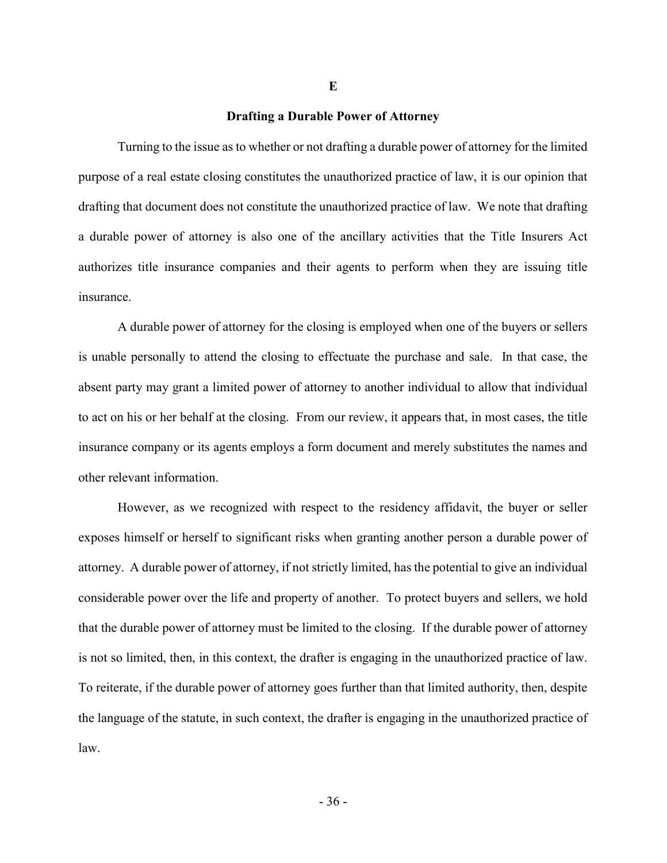#### Drafting a Durable Power of Attorney

E

 Turning to the issue as to whether or not drafting a durable power of attorney for the limited purpose of a real estate closing constitutes the unauthorized practice of law, it is our opinion that drafting that document does not constitute the unauthorized practice of law. We note that drafting a durable power of attorney is also one of the ancillary activities that the Title Insurers Act authorizes title insurance companies and their agents to perform when they are issuing title insurance.

 A durable power of attorney for the closing is employed when one of the buyers or sellers is unable personally to attend the closing to effectuate the purchase and sale. In that case, the absent party may grant a limited power of attorney to another individual to allow that individual to act on his or her behalf at the closing. From our review, it appears that, in most cases, the title insurance company or its agents employs a form document and merely substitutes the names and other relevant information.

However, as we recognized with respect to the residency affidavit, the buyer or seller exposes himself or herself to significant risks when granting another person a durable power of attorney. A durable power of attorney, if not strictly limited, has the potential to give an individual considerable power over the life and property of another. To protect buyers and sellers, we hold that the durable power of attorney must be limited to the closing. If the durable power of attorney is not so limited, then, in this context, the drafter is engaging in the unauthorized practice of law. To reiterate, if the durable power of attorney goes further than that limited authority, then, despite the language of the statute, in such context, the drafter is engaging in the unauthorized practice of law.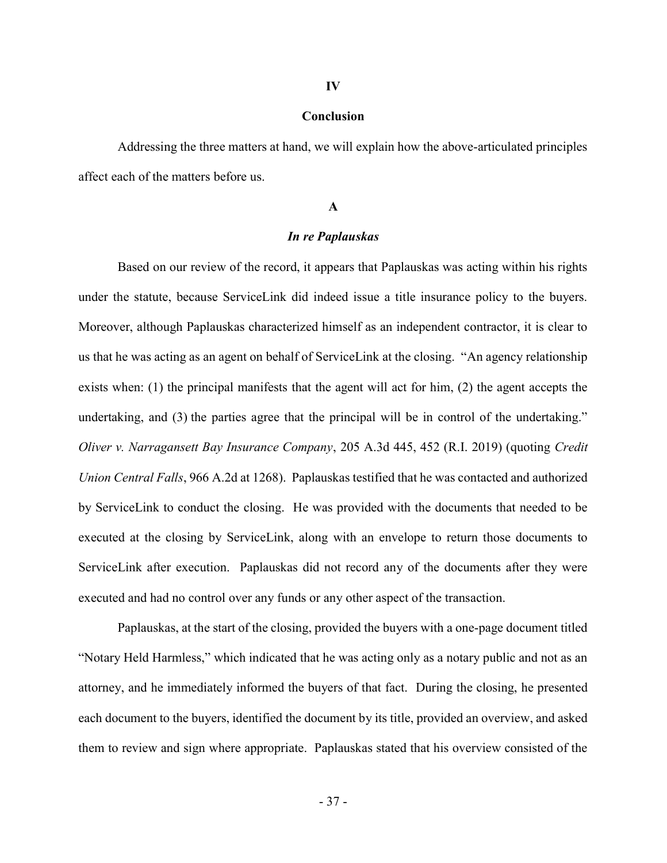#### IV

## Conclusion

 Addressing the three matters at hand, we will explain how the above-articulated principles affect each of the matters before us.

## A

# In re Paplauskas

Based on our review of the record, it appears that Paplauskas was acting within his rights under the statute, because ServiceLink did indeed issue a title insurance policy to the buyers. Moreover, although Paplauskas characterized himself as an independent contractor, it is clear to us that he was acting as an agent on behalf of ServiceLink at the closing. "An agency relationship exists when: (1) the principal manifests that the agent will act for him, (2) the agent accepts the undertaking, and (3) the parties agree that the principal will be in control of the undertaking." Oliver v. Narragansett Bay Insurance Company, 205 A.3d 445, 452 (R.I. 2019) (quoting Credit Union Central Falls, 966 A.2d at 1268). Paplauskas testified that he was contacted and authorized by ServiceLink to conduct the closing. He was provided with the documents that needed to be executed at the closing by ServiceLink, along with an envelope to return those documents to ServiceLink after execution. Paplauskas did not record any of the documents after they were executed and had no control over any funds or any other aspect of the transaction.

Paplauskas, at the start of the closing, provided the buyers with a one-page document titled "Notary Held Harmless," which indicated that he was acting only as a notary public and not as an attorney, and he immediately informed the buyers of that fact. During the closing, he presented each document to the buyers, identified the document by its title, provided an overview, and asked them to review and sign where appropriate. Paplauskas stated that his overview consisted of the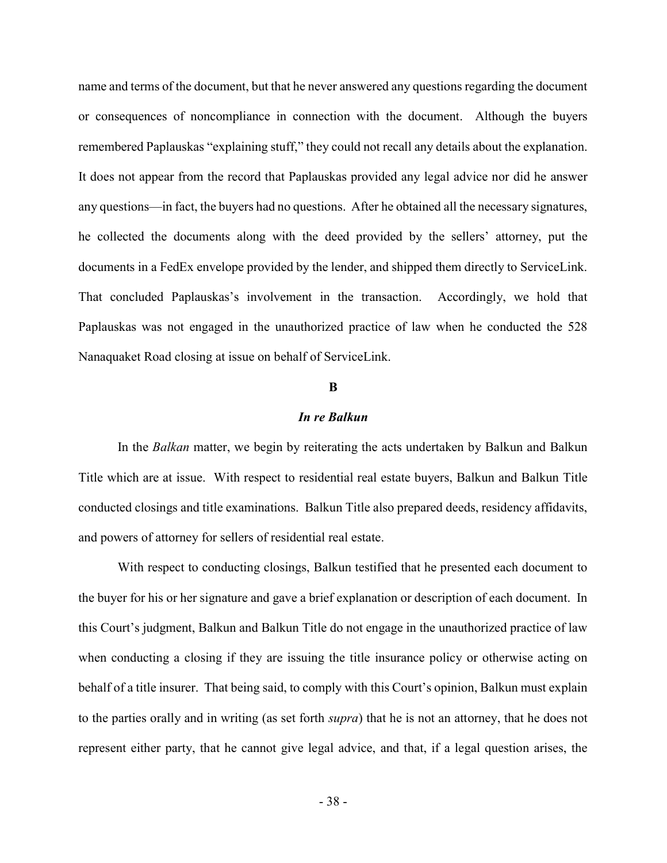name and terms of the document, but that he never answered any questions regarding the document or consequences of noncompliance in connection with the document. Although the buyers remembered Paplauskas "explaining stuff," they could not recall any details about the explanation. It does not appear from the record that Paplauskas provided any legal advice nor did he answer any questions—in fact, the buyers had no questions. After he obtained all the necessary signatures, he collected the documents along with the deed provided by the sellers' attorney, put the documents in a FedEx envelope provided by the lender, and shipped them directly to ServiceLink. That concluded Paplauskas's involvement in the transaction. Accordingly, we hold that Paplauskas was not engaged in the unauthorized practice of law when he conducted the 528 Nanaquaket Road closing at issue on behalf of ServiceLink.

## B

## In re Balkun

In the Balkan matter, we begin by reiterating the acts undertaken by Balkun and Balkun Title which are at issue. With respect to residential real estate buyers, Balkun and Balkun Title conducted closings and title examinations. Balkun Title also prepared deeds, residency affidavits, and powers of attorney for sellers of residential real estate.

With respect to conducting closings, Balkun testified that he presented each document to the buyer for his or her signature and gave a brief explanation or description of each document. In this Court's judgment, Balkun and Balkun Title do not engage in the unauthorized practice of law when conducting a closing if they are issuing the title insurance policy or otherwise acting on behalf of a title insurer. That being said, to comply with this Court's opinion, Balkun must explain to the parties orally and in writing (as set forth supra) that he is not an attorney, that he does not represent either party, that he cannot give legal advice, and that, if a legal question arises, the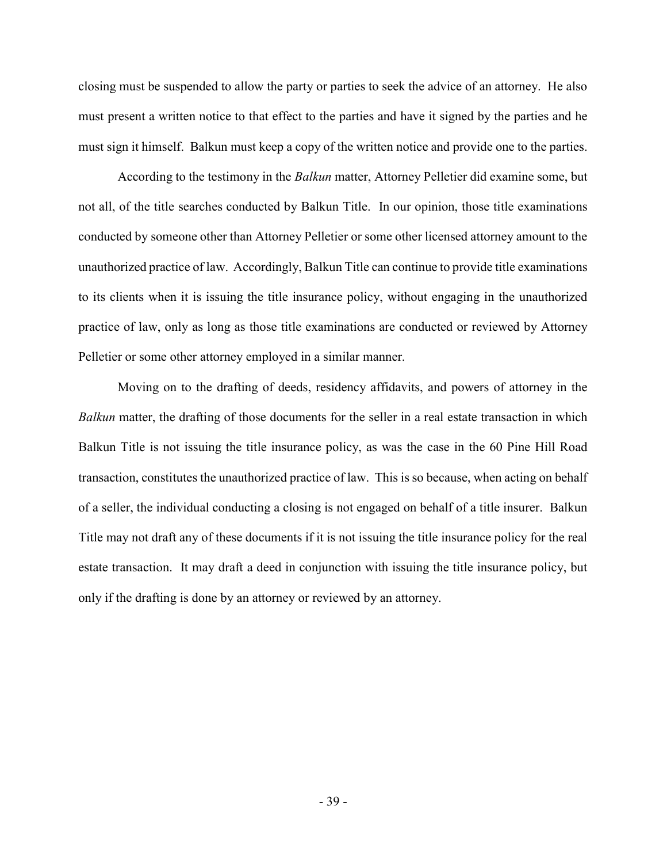closing must be suspended to allow the party or parties to seek the advice of an attorney. He also must present a written notice to that effect to the parties and have it signed by the parties and he must sign it himself. Balkun must keep a copy of the written notice and provide one to the parties.

According to the testimony in the Balkun matter, Attorney Pelletier did examine some, but not all, of the title searches conducted by Balkun Title. In our opinion, those title examinations conducted by someone other than Attorney Pelletier or some other licensed attorney amount to the unauthorized practice of law. Accordingly, Balkun Title can continue to provide title examinations to its clients when it is issuing the title insurance policy, without engaging in the unauthorized practice of law, only as long as those title examinations are conducted or reviewed by Attorney Pelletier or some other attorney employed in a similar manner.

Moving on to the drafting of deeds, residency affidavits, and powers of attorney in the Balkun matter, the drafting of those documents for the seller in a real estate transaction in which Balkun Title is not issuing the title insurance policy, as was the case in the 60 Pine Hill Road transaction, constitutes the unauthorized practice of law. This is so because, when acting on behalf of a seller, the individual conducting a closing is not engaged on behalf of a title insurer. Balkun Title may not draft any of these documents if it is not issuing the title insurance policy for the real estate transaction. It may draft a deed in conjunction with issuing the title insurance policy, but only if the drafting is done by an attorney or reviewed by an attorney.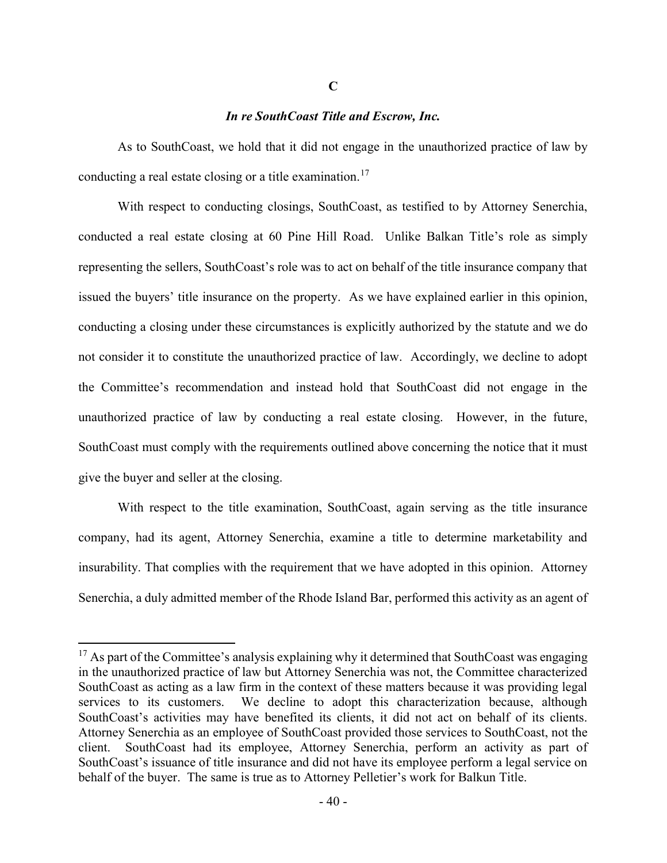## In re SouthCoast Title and Escrow, Inc.

 As to SouthCoast, we hold that it did not engage in the unauthorized practice of law by conducting a real estate closing or a title examination.<sup>17</sup>

 With respect to conducting closings, SouthCoast, as testified to by Attorney Senerchia, conducted a real estate closing at 60 Pine Hill Road. Unlike Balkan Title's role as simply representing the sellers, SouthCoast's role was to act on behalf of the title insurance company that issued the buyers' title insurance on the property. As we have explained earlier in this opinion, conducting a closing under these circumstances is explicitly authorized by the statute and we do not consider it to constitute the unauthorized practice of law. Accordingly, we decline to adopt the Committee's recommendation and instead hold that SouthCoast did not engage in the unauthorized practice of law by conducting a real estate closing. However, in the future, SouthCoast must comply with the requirements outlined above concerning the notice that it must give the buyer and seller at the closing.

 With respect to the title examination, SouthCoast, again serving as the title insurance company, had its agent, Attorney Senerchia, examine a title to determine marketability and insurability. That complies with the requirement that we have adopted in this opinion. Attorney Senerchia, a duly admitted member of the Rhode Island Bar, performed this activity as an agent of

 $17$  As part of the Committee's analysis explaining why it determined that SouthCoast was engaging in the unauthorized practice of law but Attorney Senerchia was not, the Committee characterized SouthCoast as acting as a law firm in the context of these matters because it was providing legal services to its customers. We decline to adopt this characterization because, although SouthCoast's activities may have benefited its clients, it did not act on behalf of its clients. Attorney Senerchia as an employee of SouthCoast provided those services to SouthCoast, not the client. SouthCoast had its employee, Attorney Senerchia, perform an activity as part of SouthCoast's issuance of title insurance and did not have its employee perform a legal service on behalf of the buyer. The same is true as to Attorney Pelletier's work for Balkun Title.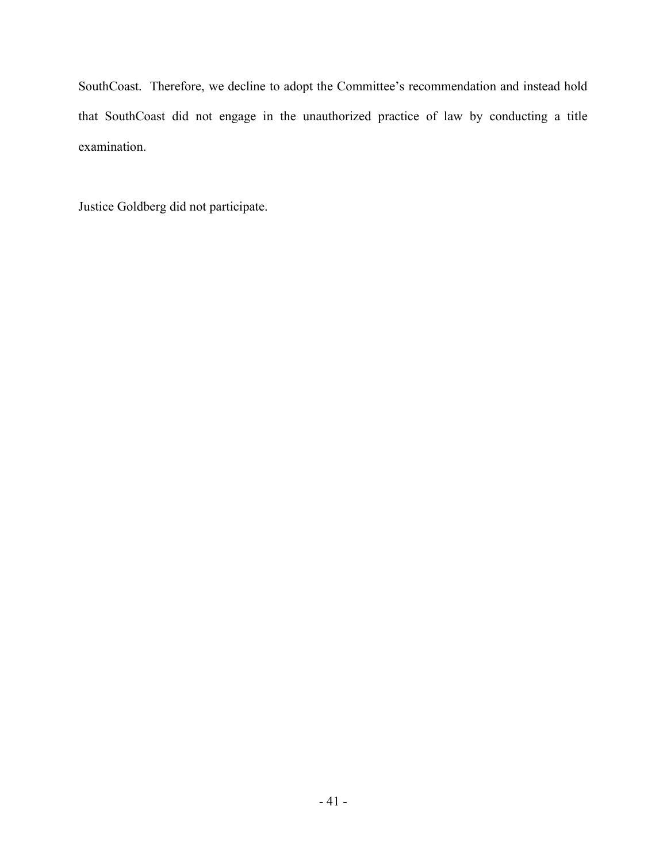SouthCoast. Therefore, we decline to adopt the Committee's recommendation and instead hold that SouthCoast did not engage in the unauthorized practice of law by conducting a title examination.

Justice Goldberg did not participate.